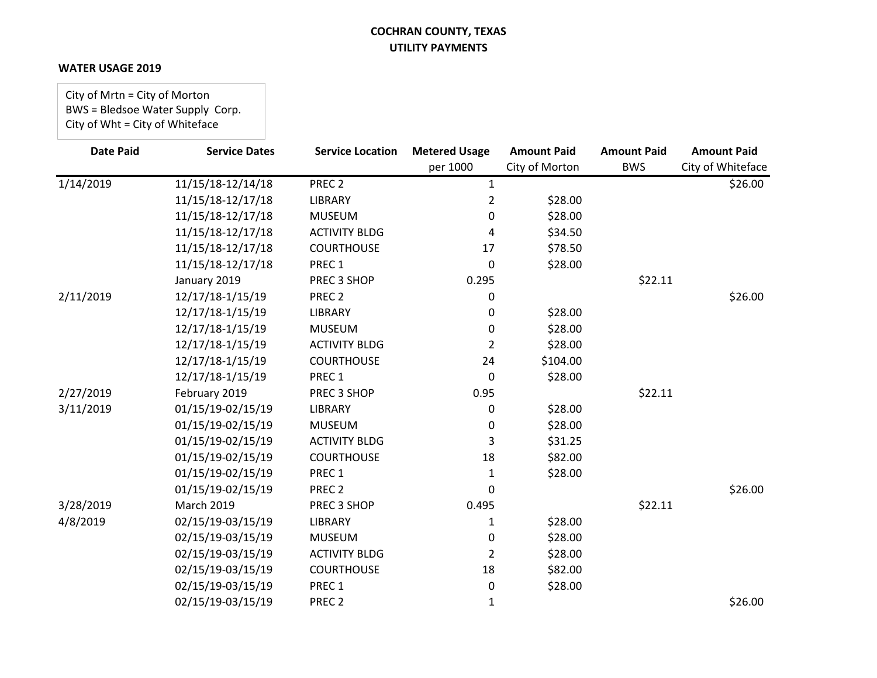### **WATER USAGE 2019**

City of Mrtn = City of Morton BWS = Bledsoe Water Supply Corp. City of Wht = City of Whiteface

| <b>Date Paid</b> | <b>Service Dates</b> | <b>Service Location</b> | <b>Metered Usage</b> | <b>Amount Paid</b> | <b>Amount Paid</b> | <b>Amount Paid</b> |
|------------------|----------------------|-------------------------|----------------------|--------------------|--------------------|--------------------|
|                  |                      |                         | per 1000             | City of Morton     | <b>BWS</b>         | City of Whiteface  |
| 1/14/2019        | 11/15/18-12/14/18    | PREC <sub>2</sub>       | $\mathbf{1}$         |                    |                    | \$26.00            |
|                  | 11/15/18-12/17/18    | <b>LIBRARY</b>          | $\overline{2}$       | \$28.00            |                    |                    |
|                  | 11/15/18-12/17/18    | <b>MUSEUM</b>           | 0                    | \$28.00            |                    |                    |
|                  | 11/15/18-12/17/18    | <b>ACTIVITY BLDG</b>    | 4                    | \$34.50            |                    |                    |
|                  | 11/15/18-12/17/18    | <b>COURTHOUSE</b>       | 17                   | \$78.50            |                    |                    |
|                  | 11/15/18-12/17/18    | PREC 1                  | $\Omega$             | \$28.00            |                    |                    |
|                  | January 2019         | PREC 3 SHOP             | 0.295                |                    | \$22.11            |                    |
| 2/11/2019        | 12/17/18-1/15/19     | PREC <sub>2</sub>       | 0                    |                    |                    | \$26.00            |
|                  | 12/17/18-1/15/19     | LIBRARY                 | 0                    | \$28.00            |                    |                    |
|                  | 12/17/18-1/15/19     | <b>MUSEUM</b>           | 0                    | \$28.00            |                    |                    |
|                  | 12/17/18-1/15/19     | <b>ACTIVITY BLDG</b>    | 2                    | \$28.00            |                    |                    |
|                  | 12/17/18-1/15/19     | <b>COURTHOUSE</b>       | 24                   | \$104.00           |                    |                    |
|                  | 12/17/18-1/15/19     | PREC 1                  | $\Omega$             | \$28.00            |                    |                    |
| 2/27/2019        | February 2019        | PREC 3 SHOP             | 0.95                 |                    | \$22.11            |                    |
| 3/11/2019        | 01/15/19-02/15/19    | <b>LIBRARY</b>          | 0                    | \$28.00            |                    |                    |
|                  | 01/15/19-02/15/19    | <b>MUSEUM</b>           | 0                    | \$28.00            |                    |                    |
|                  | 01/15/19-02/15/19    | <b>ACTIVITY BLDG</b>    | 3                    | \$31.25            |                    |                    |
|                  | 01/15/19-02/15/19    | <b>COURTHOUSE</b>       | 18                   | \$82.00            |                    |                    |
|                  | 01/15/19-02/15/19    | PREC 1                  | 1                    | \$28.00            |                    |                    |
|                  | 01/15/19-02/15/19    | PREC <sub>2</sub>       | $\Omega$             |                    |                    | \$26.00            |
| 3/28/2019        | <b>March 2019</b>    | PREC 3 SHOP             | 0.495                |                    | \$22.11            |                    |
| 4/8/2019         | 02/15/19-03/15/19    | <b>LIBRARY</b>          | 1                    | \$28.00            |                    |                    |
|                  | 02/15/19-03/15/19    | <b>MUSEUM</b>           | 0                    | \$28.00            |                    |                    |
|                  | 02/15/19-03/15/19    | <b>ACTIVITY BLDG</b>    | 2                    | \$28.00            |                    |                    |
|                  | 02/15/19-03/15/19    | <b>COURTHOUSE</b>       | 18                   | \$82.00            |                    |                    |
|                  | 02/15/19-03/15/19    | PREC 1                  | 0                    | \$28.00            |                    |                    |
|                  | 02/15/19-03/15/19    | PREC <sub>2</sub>       | 1                    |                    |                    | \$26.00            |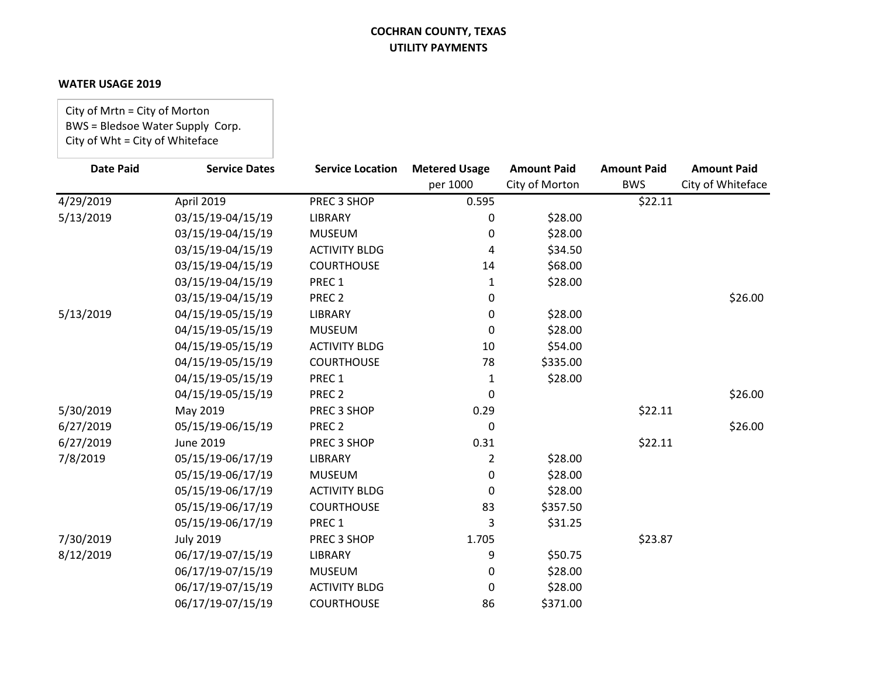### **WATER USAGE 2019**

City of Mrtn = City of Morton BWS = Bledsoe Water Supply Corp. City of Wht = City of Whiteface

| <b>Date Paid</b> | <b>Service Dates</b> | <b>Service Location</b> | <b>Metered Usage</b> | <b>Amount Paid</b> | <b>Amount Paid</b> | <b>Amount Paid</b> |
|------------------|----------------------|-------------------------|----------------------|--------------------|--------------------|--------------------|
|                  |                      |                         | per 1000             | City of Morton     | <b>BWS</b>         | City of Whiteface  |
| 4/29/2019        | April 2019           | PREC 3 SHOP             | 0.595                |                    | \$22.11            |                    |
| 5/13/2019        | 03/15/19-04/15/19    | <b>LIBRARY</b>          | 0                    | \$28.00            |                    |                    |
|                  | 03/15/19-04/15/19    | <b>MUSEUM</b>           | 0                    | \$28.00            |                    |                    |
|                  | 03/15/19-04/15/19    | <b>ACTIVITY BLDG</b>    | 4                    | \$34.50            |                    |                    |
|                  | 03/15/19-04/15/19    | <b>COURTHOUSE</b>       | 14                   | \$68.00            |                    |                    |
|                  | 03/15/19-04/15/19    | PREC 1                  | 1                    | \$28.00            |                    |                    |
|                  | 03/15/19-04/15/19    | PREC <sub>2</sub>       | 0                    |                    |                    | \$26.00            |
| 5/13/2019        | 04/15/19-05/15/19    | LIBRARY                 | 0                    | \$28.00            |                    |                    |
|                  | 04/15/19-05/15/19    | <b>MUSEUM</b>           | 0                    | \$28.00            |                    |                    |
|                  | 04/15/19-05/15/19    | <b>ACTIVITY BLDG</b>    | 10                   | \$54.00            |                    |                    |
|                  | 04/15/19-05/15/19    | <b>COURTHOUSE</b>       | 78                   | \$335.00           |                    |                    |
|                  | 04/15/19-05/15/19    | PREC 1                  | 1                    | \$28.00            |                    |                    |
|                  | 04/15/19-05/15/19    | PREC <sub>2</sub>       | 0                    |                    |                    | \$26.00            |
| 5/30/2019        | May 2019             | PREC 3 SHOP             | 0.29                 |                    | \$22.11            |                    |
| 6/27/2019        | 05/15/19-06/15/19    | PREC <sub>2</sub>       | 0                    |                    |                    | \$26.00            |
| 6/27/2019        | June 2019            | PREC 3 SHOP             | 0.31                 |                    | \$22.11            |                    |
| 7/8/2019         | 05/15/19-06/17/19    | LIBRARY                 | 2                    | \$28.00            |                    |                    |
|                  | 05/15/19-06/17/19    | <b>MUSEUM</b>           | 0                    | \$28.00            |                    |                    |
|                  | 05/15/19-06/17/19    | <b>ACTIVITY BLDG</b>    | 0                    | \$28.00            |                    |                    |
|                  | 05/15/19-06/17/19    | <b>COURTHOUSE</b>       | 83                   | \$357.50           |                    |                    |
|                  | 05/15/19-06/17/19    | PREC 1                  | 3                    | \$31.25            |                    |                    |
| 7/30/2019        | <b>July 2019</b>     | PREC 3 SHOP             | 1.705                |                    | \$23.87            |                    |
| 8/12/2019        | 06/17/19-07/15/19    | LIBRARY                 | 9                    | \$50.75            |                    |                    |
|                  | 06/17/19-07/15/19    | <b>MUSEUM</b>           | 0                    | \$28.00            |                    |                    |
|                  | 06/17/19-07/15/19    | <b>ACTIVITY BLDG</b>    | 0                    | \$28.00            |                    |                    |
|                  | 06/17/19-07/15/19    | <b>COURTHOUSE</b>       | 86                   | \$371.00           |                    |                    |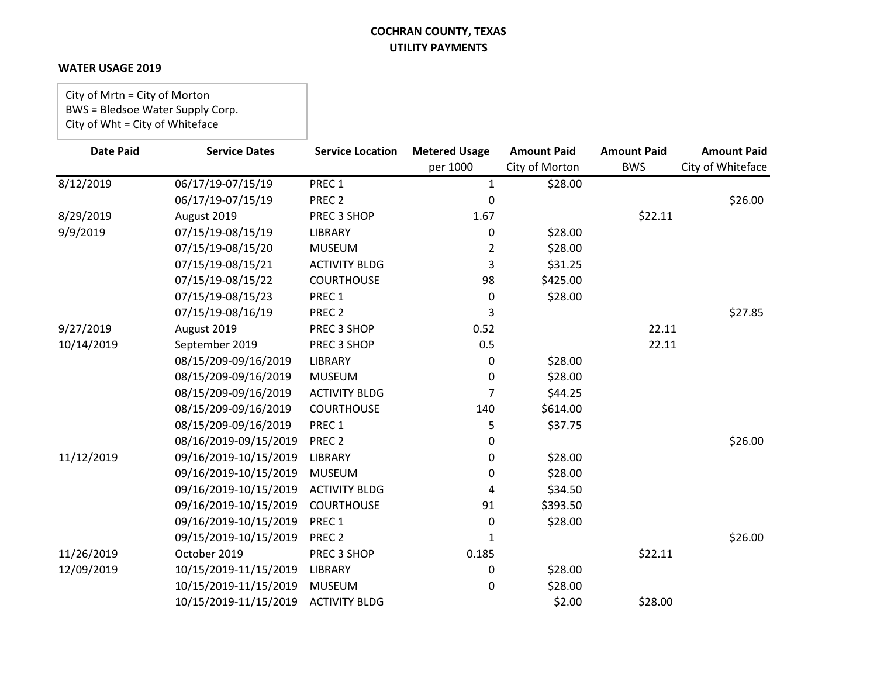### **WATER USAGE 2019**

City of Mrtn = City of Morton BWS = Bledsoe Water Supply Corp. City of Wht = City of Whiteface

| <b>Date Paid</b> | <b>Service Dates</b>  | <b>Service Location</b> | <b>Metered Usage</b><br>per 1000 | <b>Amount Paid</b><br>City of Morton | <b>Amount Paid</b><br><b>BWS</b> | <b>Amount Paid</b><br>City of Whiteface |
|------------------|-----------------------|-------------------------|----------------------------------|--------------------------------------|----------------------------------|-----------------------------------------|
| 8/12/2019        | 06/17/19-07/15/19     | PREC 1                  | $\mathbf{1}$                     | \$28.00                              |                                  |                                         |
|                  | 06/17/19-07/15/19     | PREC <sub>2</sub>       | 0                                |                                      |                                  | \$26.00                                 |
| 8/29/2019        | August 2019           | PREC 3 SHOP             | 1.67                             |                                      | \$22.11                          |                                         |
| 9/9/2019         | 07/15/19-08/15/19     | <b>LIBRARY</b>          | 0                                | \$28.00                              |                                  |                                         |
|                  | 07/15/19-08/15/20     | <b>MUSEUM</b>           | 2                                | \$28.00                              |                                  |                                         |
|                  | 07/15/19-08/15/21     | <b>ACTIVITY BLDG</b>    | 3                                | \$31.25                              |                                  |                                         |
|                  | 07/15/19-08/15/22     | <b>COURTHOUSE</b>       | 98                               | \$425.00                             |                                  |                                         |
|                  | 07/15/19-08/15/23     | PREC <sub>1</sub>       | 0                                | \$28.00                              |                                  |                                         |
|                  | 07/15/19-08/16/19     | PREC <sub>2</sub>       | 3                                |                                      |                                  | \$27.85                                 |
| 9/27/2019        | August 2019           | PREC 3 SHOP             | 0.52                             |                                      | 22.11                            |                                         |
| 10/14/2019       | September 2019        | PREC 3 SHOP             | 0.5                              |                                      | 22.11                            |                                         |
|                  | 08/15/209-09/16/2019  | <b>LIBRARY</b>          | 0                                | \$28.00                              |                                  |                                         |
|                  | 08/15/209-09/16/2019  | <b>MUSEUM</b>           | $\Omega$                         | \$28.00                              |                                  |                                         |
|                  | 08/15/209-09/16/2019  | <b>ACTIVITY BLDG</b>    | 7                                | \$44.25                              |                                  |                                         |
|                  | 08/15/209-09/16/2019  | <b>COURTHOUSE</b>       | 140                              | \$614.00                             |                                  |                                         |
|                  | 08/15/209-09/16/2019  | PREC 1                  | 5.                               | \$37.75                              |                                  |                                         |
|                  | 08/16/2019-09/15/2019 | PREC <sub>2</sub>       | 0                                |                                      |                                  | \$26.00                                 |
| 11/12/2019       | 09/16/2019-10/15/2019 | <b>LIBRARY</b>          | 0                                | \$28.00                              |                                  |                                         |
|                  | 09/16/2019-10/15/2019 | <b>MUSEUM</b>           | 0                                | \$28.00                              |                                  |                                         |
|                  | 09/16/2019-10/15/2019 | <b>ACTIVITY BLDG</b>    | 4                                | \$34.50                              |                                  |                                         |
|                  | 09/16/2019-10/15/2019 | <b>COURTHOUSE</b>       | 91                               | \$393.50                             |                                  |                                         |
|                  | 09/16/2019-10/15/2019 | PREC 1                  | 0                                | \$28.00                              |                                  |                                         |
|                  | 09/15/2019-10/15/2019 | PREC <sub>2</sub>       | 1                                |                                      |                                  | \$26.00                                 |
| 11/26/2019       | October 2019          | PREC 3 SHOP             | 0.185                            |                                      | \$22.11                          |                                         |
| 12/09/2019       | 10/15/2019-11/15/2019 | LIBRARY                 | 0                                | \$28.00                              |                                  |                                         |
|                  | 10/15/2019-11/15/2019 | <b>MUSEUM</b>           | 0                                | \$28.00                              |                                  |                                         |
|                  | 10/15/2019-11/15/2019 | <b>ACTIVITY BLDG</b>    |                                  | \$2.00                               | \$28.00                          |                                         |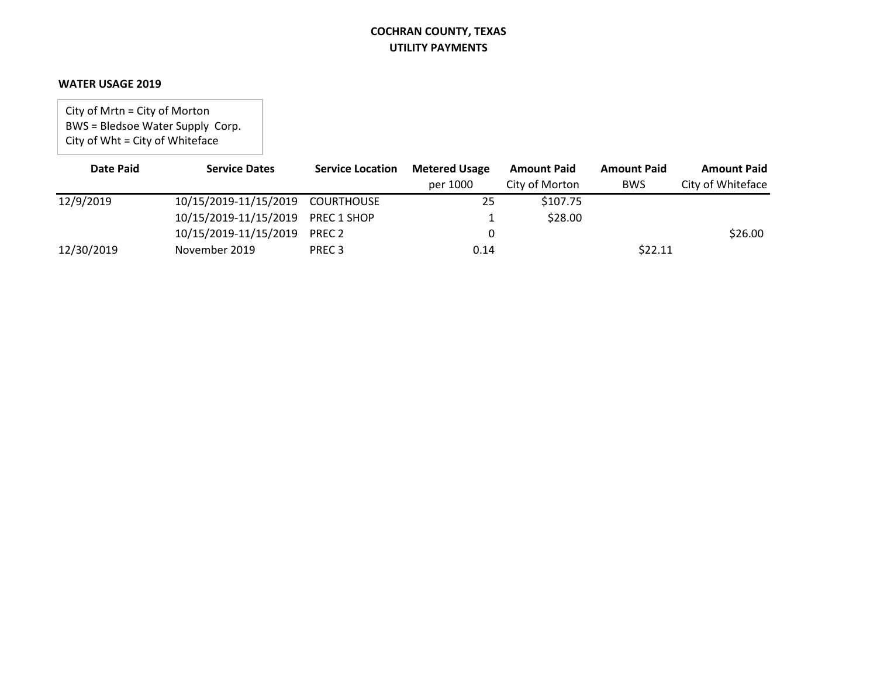#### **WATER USAGE 2019**

City of Mrtn = City of Morton BWS = Bledsoe Water Supply Corp. City of Wht = City of Whiteface

| <b>Date Paid</b> | <b>Service Dates</b>              | <b>Service Location</b> | <b>Metered Usage</b> | <b>Amount Paid</b> | <b>Amount Paid</b> | <b>Amount Paid</b> |
|------------------|-----------------------------------|-------------------------|----------------------|--------------------|--------------------|--------------------|
|                  |                                   |                         | per 1000             | City of Morton     | <b>BWS</b>         | City of Whiteface  |
| 12/9/2019        | 10/15/2019-11/15/2019 COURTHOUSE  |                         | 25                   | \$107.75           |                    |                    |
|                  | 10/15/2019-11/15/2019 PREC 1 SHOP |                         |                      | \$28.00            |                    |                    |
|                  | 10/15/2019-11/15/2019             | PREC 2                  |                      |                    |                    | \$26.00            |
| 12/30/2019       | November 2019                     | PREC <sub>3</sub>       | 0.14                 |                    | \$22.11            |                    |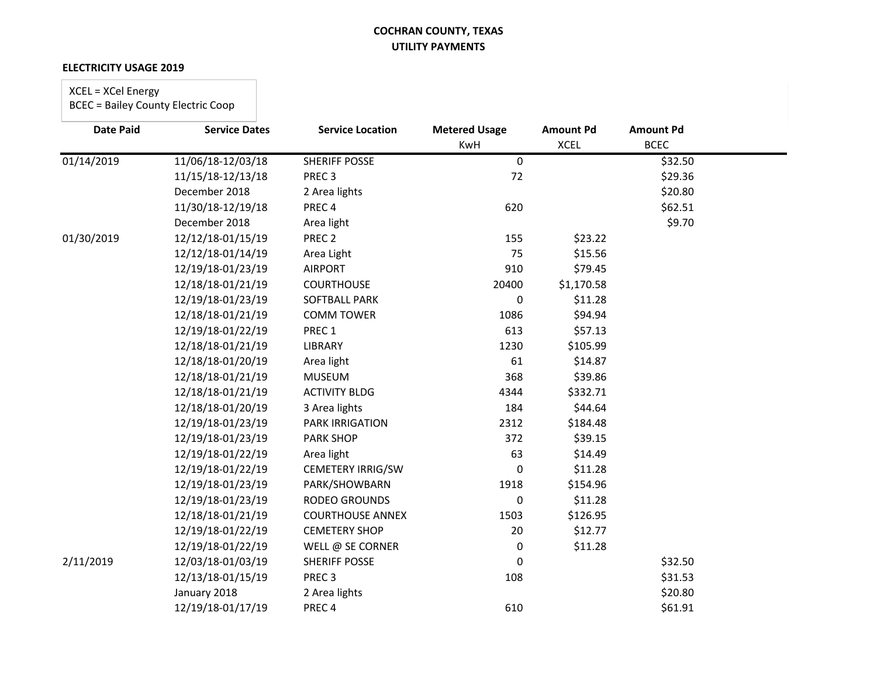#### **ELECTRICITY USAGE 2019**

# XCEL = XCel Energy

| <b>Date Paid</b> | <b>Service Dates</b> | <b>Service Location</b>  | <b>Metered Usage</b> | <b>Amount Pd</b> | <b>Amount Pd</b> |  |
|------------------|----------------------|--------------------------|----------------------|------------------|------------------|--|
|                  |                      |                          | KwH                  | <b>XCEL</b>      | <b>BCEC</b>      |  |
| 01/14/2019       | 11/06/18-12/03/18    | <b>SHERIFF POSSE</b>     | 0                    |                  | \$32.50          |  |
|                  | 11/15/18-12/13/18    | PREC <sub>3</sub>        | 72                   |                  | \$29.36          |  |
|                  | December 2018        | 2 Area lights            |                      |                  | \$20.80          |  |
|                  | 11/30/18-12/19/18    | PREC <sub>4</sub>        | 620                  |                  | \$62.51          |  |
|                  | December 2018        | Area light               |                      |                  | \$9.70           |  |
| 01/30/2019       | 12/12/18-01/15/19    | PREC <sub>2</sub>        | 155                  | \$23.22          |                  |  |
|                  | 12/12/18-01/14/19    | Area Light               | 75                   | \$15.56          |                  |  |
|                  | 12/19/18-01/23/19    | <b>AIRPORT</b>           | 910                  | \$79.45          |                  |  |
|                  | 12/18/18-01/21/19    | <b>COURTHOUSE</b>        | 20400                | \$1,170.58       |                  |  |
|                  | 12/19/18-01/23/19    | SOFTBALL PARK            | 0                    | \$11.28          |                  |  |
|                  | 12/18/18-01/21/19    | <b>COMM TOWER</b>        | 1086                 | \$94.94          |                  |  |
|                  | 12/19/18-01/22/19    | PREC <sub>1</sub>        | 613                  | \$57.13          |                  |  |
|                  | 12/18/18-01/21/19    | LIBRARY                  | 1230                 | \$105.99         |                  |  |
|                  | 12/18/18-01/20/19    | Area light               | 61                   | \$14.87          |                  |  |
|                  | 12/18/18-01/21/19    | <b>MUSEUM</b>            | 368                  | \$39.86          |                  |  |
|                  | 12/18/18-01/21/19    | <b>ACTIVITY BLDG</b>     | 4344                 | \$332.71         |                  |  |
|                  | 12/18/18-01/20/19    | 3 Area lights            | 184                  | \$44.64          |                  |  |
|                  | 12/19/18-01/23/19    | <b>PARK IRRIGATION</b>   | 2312                 | \$184.48         |                  |  |
|                  | 12/19/18-01/23/19    | <b>PARK SHOP</b>         | 372                  | \$39.15          |                  |  |
|                  | 12/19/18-01/22/19    | Area light               | 63                   | \$14.49          |                  |  |
|                  | 12/19/18-01/22/19    | <b>CEMETERY IRRIG/SW</b> | 0                    | \$11.28          |                  |  |
|                  | 12/19/18-01/23/19    | PARK/SHOWBARN            | 1918                 | \$154.96         |                  |  |
|                  | 12/19/18-01/23/19    | <b>RODEO GROUNDS</b>     | 0                    | \$11.28          |                  |  |
|                  | 12/18/18-01/21/19    | <b>COURTHOUSE ANNEX</b>  | 1503                 | \$126.95         |                  |  |
|                  | 12/19/18-01/22/19    | <b>CEMETERY SHOP</b>     | 20                   | \$12.77          |                  |  |
|                  | 12/19/18-01/22/19    | WELL @ SE CORNER         | 0                    | \$11.28          |                  |  |
| 2/11/2019        | 12/03/18-01/03/19    | <b>SHERIFF POSSE</b>     | 0                    |                  | \$32.50          |  |
|                  | 12/13/18-01/15/19    | PREC <sub>3</sub>        | 108                  |                  | \$31.53          |  |
|                  | January 2018         | 2 Area lights            |                      |                  | \$20.80          |  |
|                  | 12/19/18-01/17/19    | PREC <sub>4</sub>        | 610                  |                  | \$61.91          |  |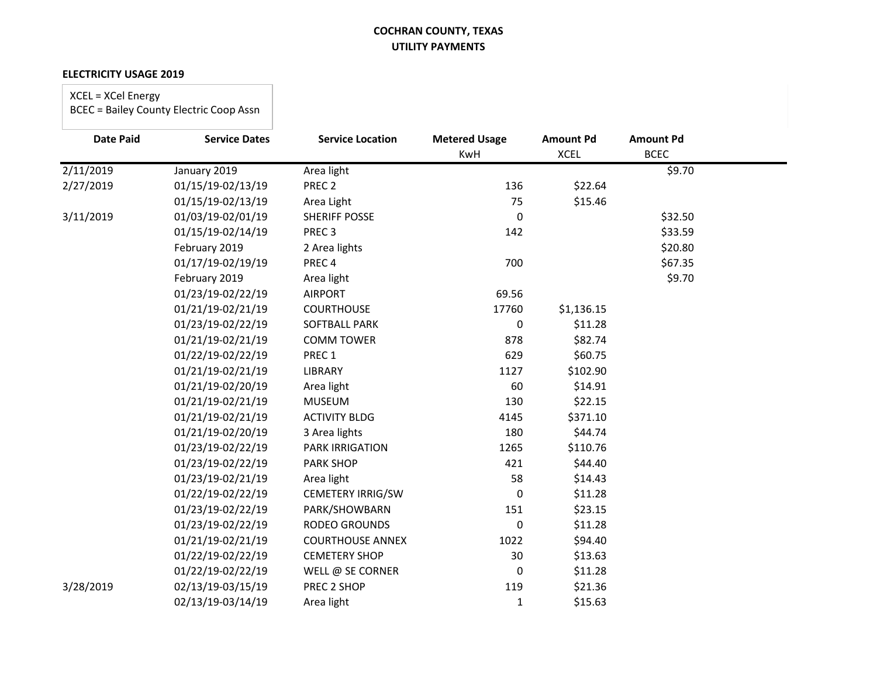#### **ELECTRICITY USAGE 2019**

# XCEL = XCel Energy

| <b>Date Paid</b> | <b>Service Dates</b> | <b>Service Location</b>  | <b>Metered Usage</b> | <b>Amount Pd</b> | <b>Amount Pd</b> |  |
|------------------|----------------------|--------------------------|----------------------|------------------|------------------|--|
|                  |                      |                          | <b>KwH</b>           | <b>XCEL</b>      | <b>BCEC</b>      |  |
| 2/11/2019        | January 2019         | Area light               |                      |                  | \$9.70           |  |
| 2/27/2019        | 01/15/19-02/13/19    | PREC <sub>2</sub>        | 136                  | \$22.64          |                  |  |
|                  | 01/15/19-02/13/19    | Area Light               | 75                   | \$15.46          |                  |  |
| 3/11/2019        | 01/03/19-02/01/19    | <b>SHERIFF POSSE</b>     | $\Omega$             |                  | \$32.50          |  |
|                  | 01/15/19-02/14/19    | PREC <sub>3</sub>        | 142                  |                  | \$33.59          |  |
|                  | February 2019        | 2 Area lights            |                      |                  | \$20.80          |  |
|                  | 01/17/19-02/19/19    | PREC <sub>4</sub>        | 700                  |                  | \$67.35          |  |
|                  | February 2019        | Area light               |                      |                  | \$9.70           |  |
|                  | 01/23/19-02/22/19    | <b>AIRPORT</b>           | 69.56                |                  |                  |  |
|                  | 01/21/19-02/21/19    | <b>COURTHOUSE</b>        | 17760                | \$1,136.15       |                  |  |
|                  | 01/23/19-02/22/19    | <b>SOFTBALL PARK</b>     | 0                    | \$11.28          |                  |  |
|                  | 01/21/19-02/21/19    | <b>COMM TOWER</b>        | 878                  | \$82.74          |                  |  |
|                  | 01/22/19-02/22/19    | PREC 1                   | 629                  | \$60.75          |                  |  |
|                  | 01/21/19-02/21/19    | <b>LIBRARY</b>           | 1127                 | \$102.90         |                  |  |
|                  | 01/21/19-02/20/19    | Area light               | 60                   | \$14.91          |                  |  |
|                  | 01/21/19-02/21/19    | <b>MUSEUM</b>            | 130                  | \$22.15          |                  |  |
|                  | 01/21/19-02/21/19    | <b>ACTIVITY BLDG</b>     | 4145                 | \$371.10         |                  |  |
|                  | 01/21/19-02/20/19    | 3 Area lights            | 180                  | \$44.74          |                  |  |
|                  | 01/23/19-02/22/19    | <b>PARK IRRIGATION</b>   | 1265                 | \$110.76         |                  |  |
|                  | 01/23/19-02/22/19    | <b>PARK SHOP</b>         | 421                  | \$44.40          |                  |  |
|                  | 01/23/19-02/21/19    | Area light               | 58                   | \$14.43          |                  |  |
|                  | 01/22/19-02/22/19    | <b>CEMETERY IRRIG/SW</b> | 0                    | \$11.28          |                  |  |
|                  | 01/23/19-02/22/19    | PARK/SHOWBARN            | 151                  | \$23.15          |                  |  |
|                  | 01/23/19-02/22/19    | RODEO GROUNDS            | 0                    | \$11.28          |                  |  |
|                  | 01/21/19-02/21/19    | <b>COURTHOUSE ANNEX</b>  | 1022                 | \$94.40          |                  |  |
|                  | 01/22/19-02/22/19    | <b>CEMETERY SHOP</b>     | 30                   | \$13.63          |                  |  |
|                  | 01/22/19-02/22/19    | WELL @ SE CORNER         | 0                    | \$11.28          |                  |  |
| 3/28/2019        | 02/13/19-03/15/19    | PREC 2 SHOP              | 119                  | \$21.36          |                  |  |
|                  | 02/13/19-03/14/19    | Area light               | $\mathbf{1}$         | \$15.63          |                  |  |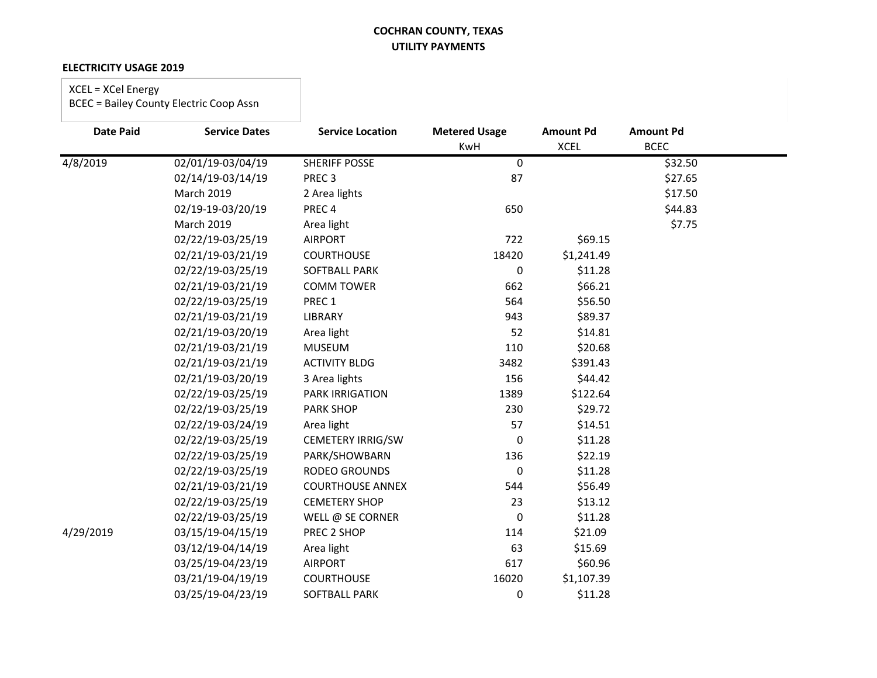#### **ELECTRICITY USAGE 2019**

### XCEL = XCel Energy

| <b>Date Paid</b> | <b>Service Dates</b> | <b>Service Location</b>  | <b>Metered Usage</b> | <b>Amount Pd</b> | <b>Amount Pd</b> |  |
|------------------|----------------------|--------------------------|----------------------|------------------|------------------|--|
|                  |                      |                          | <b>KwH</b>           | <b>XCEL</b>      | <b>BCEC</b>      |  |
| 4/8/2019         | 02/01/19-03/04/19    | <b>SHERIFF POSSE</b>     | 0                    |                  | \$32.50          |  |
|                  | 02/14/19-03/14/19    | PREC <sub>3</sub>        | 87                   |                  | \$27.65          |  |
|                  | <b>March 2019</b>    | 2 Area lights            |                      |                  | \$17.50          |  |
|                  | 02/19-19-03/20/19    | PREC <sub>4</sub>        | 650                  |                  | \$44.83          |  |
|                  | <b>March 2019</b>    | Area light               |                      |                  | \$7.75           |  |
|                  | 02/22/19-03/25/19    | <b>AIRPORT</b>           | 722                  | \$69.15          |                  |  |
|                  | 02/21/19-03/21/19    | <b>COURTHOUSE</b>        | 18420                | \$1,241.49       |                  |  |
|                  | 02/22/19-03/25/19    | SOFTBALL PARK            | 0                    | \$11.28          |                  |  |
|                  | 02/21/19-03/21/19    | <b>COMM TOWER</b>        | 662                  | \$66.21          |                  |  |
|                  | 02/22/19-03/25/19    | PREC 1                   | 564                  | \$56.50          |                  |  |
|                  | 02/21/19-03/21/19    | LIBRARY                  | 943                  | \$89.37          |                  |  |
|                  | 02/21/19-03/20/19    | Area light               | 52                   | \$14.81          |                  |  |
|                  | 02/21/19-03/21/19    | <b>MUSEUM</b>            | 110                  | \$20.68          |                  |  |
|                  | 02/21/19-03/21/19    | <b>ACTIVITY BLDG</b>     | 3482                 | \$391.43         |                  |  |
|                  | 02/21/19-03/20/19    | 3 Area lights            | 156                  | \$44.42          |                  |  |
|                  | 02/22/19-03/25/19    | <b>PARK IRRIGATION</b>   | 1389                 | \$122.64         |                  |  |
|                  | 02/22/19-03/25/19    | <b>PARK SHOP</b>         | 230                  | \$29.72          |                  |  |
|                  | 02/22/19-03/24/19    | Area light               | 57                   | \$14.51          |                  |  |
|                  | 02/22/19-03/25/19    | <b>CEMETERY IRRIG/SW</b> | 0                    | \$11.28          |                  |  |
|                  | 02/22/19-03/25/19    | PARK/SHOWBARN            | 136                  | \$22.19          |                  |  |
|                  | 02/22/19-03/25/19    | RODEO GROUNDS            | 0                    | \$11.28          |                  |  |
|                  | 02/21/19-03/21/19    | <b>COURTHOUSE ANNEX</b>  | 544                  | \$56.49          |                  |  |
|                  | 02/22/19-03/25/19    | <b>CEMETERY SHOP</b>     | 23                   | \$13.12          |                  |  |
|                  | 02/22/19-03/25/19    | WELL @ SE CORNER         | 0                    | \$11.28          |                  |  |
| 4/29/2019        | 03/15/19-04/15/19    | PREC 2 SHOP              | 114                  | \$21.09          |                  |  |
|                  | 03/12/19-04/14/19    | Area light               | 63                   | \$15.69          |                  |  |
|                  | 03/25/19-04/23/19    | <b>AIRPORT</b>           | 617                  | \$60.96          |                  |  |
|                  | 03/21/19-04/19/19    | <b>COURTHOUSE</b>        | 16020                | \$1,107.39       |                  |  |
|                  | 03/25/19-04/23/19    | SOFTBALL PARK            | 0                    | \$11.28          |                  |  |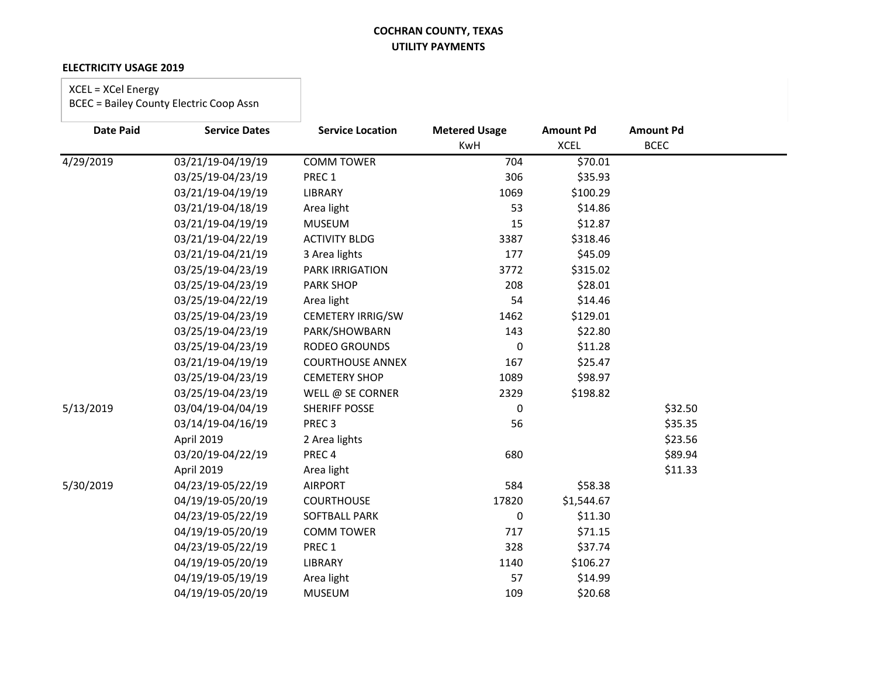#### **ELECTRICITY USAGE 2019**

### XCEL = XCel Energy

| <b>Date Paid</b> | <b>Service Dates</b> | <b>Service Location</b> | <b>Metered Usage</b> | <b>Amount Pd</b> | <b>Amount Pd</b> |
|------------------|----------------------|-------------------------|----------------------|------------------|------------------|
|                  |                      |                         | KwH                  | <b>XCEL</b>      | <b>BCEC</b>      |
| 4/29/2019        | 03/21/19-04/19/19    | <b>COMM TOWER</b>       | 704                  | \$70.01          |                  |
|                  | 03/25/19-04/23/19    | PREC 1                  | 306                  | \$35.93          |                  |
|                  | 03/21/19-04/19/19    | LIBRARY                 | 1069                 | \$100.29         |                  |
|                  | 03/21/19-04/18/19    | Area light              | 53                   | \$14.86          |                  |
|                  | 03/21/19-04/19/19    | <b>MUSEUM</b>           | 15                   | \$12.87          |                  |
|                  | 03/21/19-04/22/19    | <b>ACTIVITY BLDG</b>    | 3387                 | \$318.46         |                  |
|                  | 03/21/19-04/21/19    | 3 Area lights           | 177                  | \$45.09          |                  |
|                  | 03/25/19-04/23/19    | <b>PARK IRRIGATION</b>  | 3772                 | \$315.02         |                  |
|                  | 03/25/19-04/23/19    | <b>PARK SHOP</b>        | 208                  | \$28.01          |                  |
|                  | 03/25/19-04/22/19    | Area light              | 54                   | \$14.46          |                  |
|                  | 03/25/19-04/23/19    | CEMETERY IRRIG/SW       | 1462                 | \$129.01         |                  |
|                  | 03/25/19-04/23/19    | PARK/SHOWBARN           | 143                  | \$22.80          |                  |
|                  | 03/25/19-04/23/19    | <b>RODEO GROUNDS</b>    | 0                    | \$11.28          |                  |
|                  | 03/21/19-04/19/19    | <b>COURTHOUSE ANNEX</b> | 167                  | \$25.47          |                  |
|                  | 03/25/19-04/23/19    | <b>CEMETERY SHOP</b>    | 1089                 | \$98.97          |                  |
|                  | 03/25/19-04/23/19    | WELL @ SE CORNER        | 2329                 | \$198.82         |                  |
| 5/13/2019        | 03/04/19-04/04/19    | <b>SHERIFF POSSE</b>    | 0                    |                  | \$32.50          |
|                  | 03/14/19-04/16/19    | PREC <sub>3</sub>       | 56                   |                  | \$35.35          |
|                  | April 2019           | 2 Area lights           |                      |                  | \$23.56          |
|                  | 03/20/19-04/22/19    | PREC <sub>4</sub>       | 680                  |                  | \$89.94          |
|                  | April 2019           | Area light              |                      |                  | \$11.33          |
| 5/30/2019        | 04/23/19-05/22/19    | <b>AIRPORT</b>          | 584                  | \$58.38          |                  |
|                  | 04/19/19-05/20/19    | <b>COURTHOUSE</b>       | 17820                | \$1,544.67       |                  |
|                  | 04/23/19-05/22/19    | <b>SOFTBALL PARK</b>    | 0                    | \$11.30          |                  |
|                  | 04/19/19-05/20/19    | <b>COMM TOWER</b>       | 717                  | \$71.15          |                  |
|                  | 04/23/19-05/22/19    | PREC 1                  | 328                  | \$37.74          |                  |
|                  | 04/19/19-05/20/19    | LIBRARY                 | 1140                 | \$106.27         |                  |
|                  | 04/19/19-05/19/19    | Area light              | 57                   | \$14.99          |                  |
|                  | 04/19/19-05/20/19    | <b>MUSEUM</b>           | 109                  | \$20.68          |                  |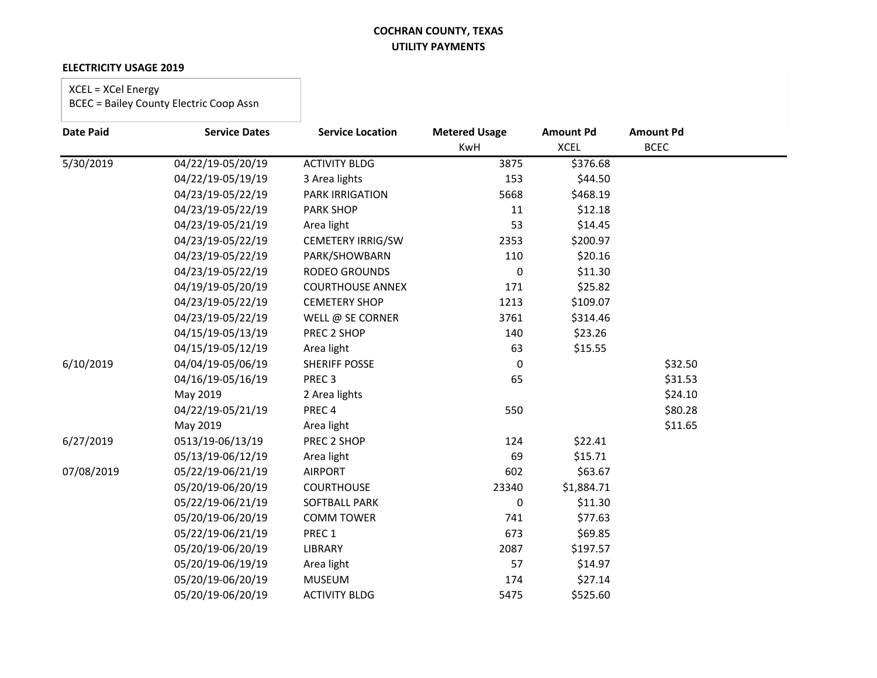### **ELECTRICITY USAGE 2019**

### XCEL = XCel Energy

| <b>Date Paid</b> | <b>Service Dates</b>             | <b>Service Location</b>  | <b>Metered Usage</b> | <b>Amount Pd</b> | <b>Amount Pd</b> |
|------------------|----------------------------------|--------------------------|----------------------|------------------|------------------|
|                  |                                  |                          | KwH                  | <b>XCEL</b>      | <b>BCEC</b>      |
| 5/30/2019        | $\overline{04}/22/19 - 05/20/19$ | <b>ACTIVITY BLDG</b>     | 3875                 | \$376.68         |                  |
|                  | 04/22/19-05/19/19                | 3 Area lights            | 153                  | \$44.50          |                  |
|                  | 04/23/19-05/22/19                | PARK IRRIGATION          | 5668                 | \$468.19         |                  |
|                  | 04/23/19-05/22/19                | PARK SHOP                | 11                   | \$12.18          |                  |
|                  | 04/23/19-05/21/19                | Area light               | 53                   | \$14.45          |                  |
|                  | 04/23/19-05/22/19                | <b>CEMETERY IRRIG/SW</b> | 2353                 | \$200.97         |                  |
|                  | 04/23/19-05/22/19                | PARK/SHOWBARN            | 110                  | \$20.16          |                  |
|                  | 04/23/19-05/22/19                | <b>RODEO GROUNDS</b>     | 0                    | \$11.30          |                  |
|                  | 04/19/19-05/20/19                | <b>COURTHOUSE ANNEX</b>  | 171                  | \$25.82          |                  |
|                  | 04/23/19-05/22/19                | <b>CEMETERY SHOP</b>     | 1213                 | \$109.07         |                  |
|                  | 04/23/19-05/22/19                | WELL @ SE CORNER         | 3761                 | \$314.46         |                  |
|                  | 04/15/19-05/13/19                | PREC 2 SHOP              | 140                  | \$23.26          |                  |
|                  | 04/15/19-05/12/19                | Area light               | 63                   | \$15.55          |                  |
| 6/10/2019        | 04/04/19-05/06/19                | SHERIFF POSSE            | 0                    |                  | \$32.50          |
|                  | 04/16/19-05/16/19                | PREC <sub>3</sub>        | 65                   |                  | \$31.53          |
|                  | May 2019                         | 2 Area lights            |                      |                  | \$24.10          |
|                  | 04/22/19-05/21/19                | PREC4                    | 550                  |                  | \$80.28          |
|                  | May 2019                         | Area light               |                      |                  | \$11.65          |
| 6/27/2019        | 0513/19-06/13/19                 | PREC 2 SHOP              | 124                  | \$22.41          |                  |
|                  | 05/13/19-06/12/19                | Area light               | 69                   | \$15.71          |                  |
| 07/08/2019       | 05/22/19-06/21/19                | <b>AIRPORT</b>           | 602                  | \$63.67          |                  |
|                  | 05/20/19-06/20/19                | <b>COURTHOUSE</b>        | 23340                | \$1,884.71       |                  |
|                  | 05/22/19-06/21/19                | SOFTBALL PARK            | 0                    | \$11.30          |                  |
|                  | 05/20/19-06/20/19                | <b>COMM TOWER</b>        | 741                  | \$77.63          |                  |
|                  | 05/22/19-06/21/19                | PREC 1                   | 673                  | \$69.85          |                  |
|                  | 05/20/19-06/20/19                | LIBRARY                  | 2087                 | \$197.57         |                  |
|                  | 05/20/19-06/19/19                | Area light               | 57                   | \$14.97          |                  |
|                  | 05/20/19-06/20/19                | <b>MUSEUM</b>            | 174                  | \$27.14          |                  |
|                  | 05/20/19-06/20/19                | <b>ACTIVITY BLDG</b>     | 5475                 | \$525.60         |                  |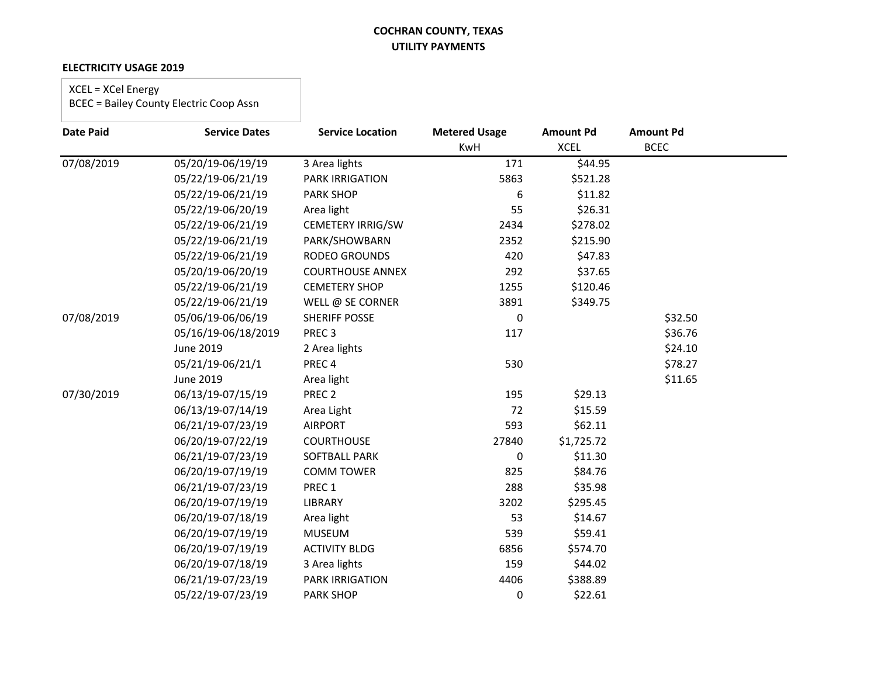### **ELECTRICITY USAGE 2019**

### XCEL = XCel Energy

| <b>Date Paid</b> | <b>Service Dates</b> | <b>Service Location</b> | <b>Metered Usage</b> | <b>Amount Pd</b> | <b>Amount Pd</b> |
|------------------|----------------------|-------------------------|----------------------|------------------|------------------|
|                  |                      |                         | <b>KwH</b>           | <b>XCEL</b>      | <b>BCEC</b>      |
| 07/08/2019       | 05/20/19-06/19/19    | 3 Area lights           | 171                  | \$44.95          |                  |
|                  | 05/22/19-06/21/19    | <b>PARK IRRIGATION</b>  | 5863                 | \$521.28         |                  |
|                  | 05/22/19-06/21/19    | PARK SHOP               | 6                    | \$11.82          |                  |
|                  | 05/22/19-06/20/19    | Area light              | 55                   | \$26.31          |                  |
|                  | 05/22/19-06/21/19    | CEMETERY IRRIG/SW       | 2434                 | \$278.02         |                  |
|                  | 05/22/19-06/21/19    | PARK/SHOWBARN           | 2352                 | \$215.90         |                  |
|                  | 05/22/19-06/21/19    | RODEO GROUNDS           | 420                  | \$47.83          |                  |
|                  | 05/20/19-06/20/19    | <b>COURTHOUSE ANNEX</b> | 292                  | \$37.65          |                  |
|                  | 05/22/19-06/21/19    | <b>CEMETERY SHOP</b>    | 1255                 | \$120.46         |                  |
|                  | 05/22/19-06/21/19    | WELL @ SE CORNER        | 3891                 | \$349.75         |                  |
| 07/08/2019       | 05/06/19-06/06/19    | <b>SHERIFF POSSE</b>    | 0                    |                  | \$32.50          |
|                  | 05/16/19-06/18/2019  | PREC <sub>3</sub>       | 117                  |                  | \$36.76          |
|                  | June 2019            | 2 Area lights           |                      |                  | \$24.10          |
|                  | 05/21/19-06/21/1     | PREC <sub>4</sub>       | 530                  |                  | \$78.27          |
|                  | June 2019            | Area light              |                      |                  | \$11.65          |
| 07/30/2019       | 06/13/19-07/15/19    | PREC <sub>2</sub>       | 195                  | \$29.13          |                  |
|                  | 06/13/19-07/14/19    | Area Light              | 72                   | \$15.59          |                  |
|                  | 06/21/19-07/23/19    | <b>AIRPORT</b>          | 593                  | \$62.11          |                  |
|                  | 06/20/19-07/22/19    | <b>COURTHOUSE</b>       | 27840                | \$1,725.72       |                  |
|                  | 06/21/19-07/23/19    | <b>SOFTBALL PARK</b>    | 0                    | \$11.30          |                  |
|                  | 06/20/19-07/19/19    | <b>COMM TOWER</b>       | 825                  | \$84.76          |                  |
|                  | 06/21/19-07/23/19    | PREC 1                  | 288                  | \$35.98          |                  |
|                  | 06/20/19-07/19/19    | LIBRARY                 | 3202                 | \$295.45         |                  |
|                  | 06/20/19-07/18/19    | Area light              | 53                   | \$14.67          |                  |
|                  | 06/20/19-07/19/19    | <b>MUSEUM</b>           | 539                  | \$59.41          |                  |
|                  | 06/20/19-07/19/19    | <b>ACTIVITY BLDG</b>    | 6856                 | \$574.70         |                  |
|                  | 06/20/19-07/18/19    | 3 Area lights           | 159                  | \$44.02          |                  |
|                  | 06/21/19-07/23/19    | <b>PARK IRRIGATION</b>  | 4406                 | \$388.89         |                  |
|                  | 05/22/19-07/23/19    | <b>PARK SHOP</b>        | 0                    | \$22.61          |                  |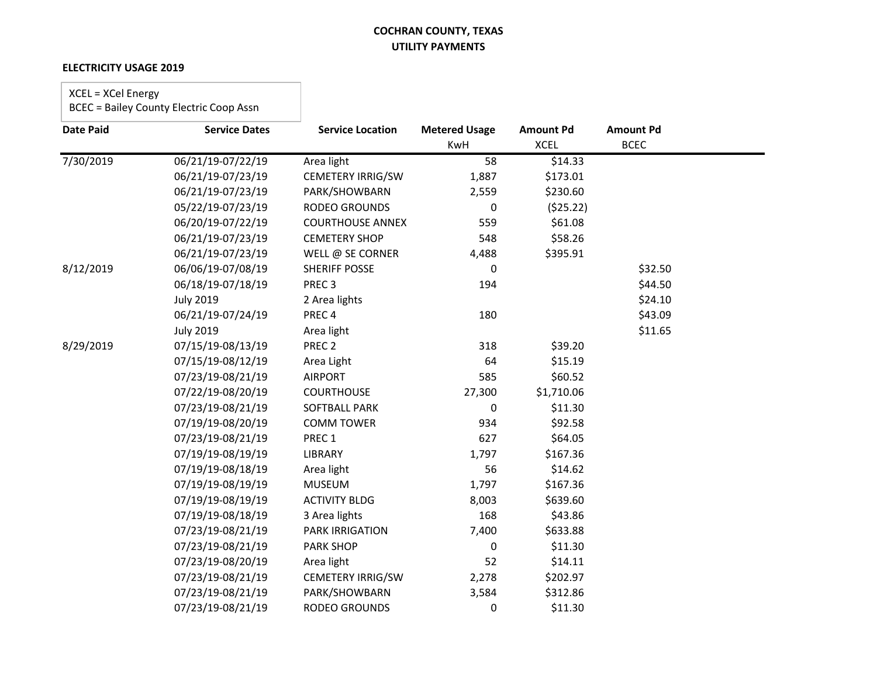#### **ELECTRICITY USAGE 2019**

# XCEL = XCel Energy

| <b>Date Paid</b> | <b>Service Dates</b> | <b>Service Location</b> | <b>Metered Usage</b> | <b>Amount Pd</b> | <b>Amount Pd</b> |  |
|------------------|----------------------|-------------------------|----------------------|------------------|------------------|--|
|                  |                      |                         | KwH                  | <b>XCEL</b>      | <b>BCEC</b>      |  |
| 7/30/2019        | 06/21/19-07/22/19    | Area light              | 58                   | \$14.33          |                  |  |
|                  | 06/21/19-07/23/19    | CEMETERY IRRIG/SW       | 1,887                | \$173.01         |                  |  |
|                  | 06/21/19-07/23/19    | PARK/SHOWBARN           | 2,559                | \$230.60         |                  |  |
|                  | 05/22/19-07/23/19    | RODEO GROUNDS           | 0                    | (525.22)         |                  |  |
|                  | 06/20/19-07/22/19    | <b>COURTHOUSE ANNEX</b> | 559                  | \$61.08          |                  |  |
|                  | 06/21/19-07/23/19    | <b>CEMETERY SHOP</b>    | 548                  | \$58.26          |                  |  |
|                  | 06/21/19-07/23/19    | WELL @ SE CORNER        | 4,488                | \$395.91         |                  |  |
| 8/12/2019        | 06/06/19-07/08/19    | <b>SHERIFF POSSE</b>    | 0                    |                  | \$32.50          |  |
|                  | 06/18/19-07/18/19    | PREC <sub>3</sub>       | 194                  |                  | \$44.50          |  |
|                  | <b>July 2019</b>     | 2 Area lights           |                      |                  | \$24.10          |  |
|                  | 06/21/19-07/24/19    | PREC <sub>4</sub>       | 180                  |                  | \$43.09          |  |
|                  | <b>July 2019</b>     | Area light              |                      |                  | \$11.65          |  |
| 8/29/2019        | 07/15/19-08/13/19    | PREC <sub>2</sub>       | 318                  | \$39.20          |                  |  |
|                  | 07/15/19-08/12/19    | Area Light              | 64                   | \$15.19          |                  |  |
|                  | 07/23/19-08/21/19    | <b>AIRPORT</b>          | 585                  | \$60.52          |                  |  |
|                  | 07/22/19-08/20/19    | <b>COURTHOUSE</b>       | 27,300               | \$1,710.06       |                  |  |
|                  | 07/23/19-08/21/19    | <b>SOFTBALL PARK</b>    | 0                    | \$11.30          |                  |  |
|                  | 07/19/19-08/20/19    | <b>COMM TOWER</b>       | 934                  | \$92.58          |                  |  |
|                  | 07/23/19-08/21/19    | PREC 1                  | 627                  | \$64.05          |                  |  |
|                  | 07/19/19-08/19/19    | <b>LIBRARY</b>          | 1,797                | \$167.36         |                  |  |
|                  | 07/19/19-08/18/19    | Area light              | 56                   | \$14.62          |                  |  |
|                  | 07/19/19-08/19/19    | <b>MUSEUM</b>           | 1,797                | \$167.36         |                  |  |
|                  | 07/19/19-08/19/19    | <b>ACTIVITY BLDG</b>    | 8,003                | \$639.60         |                  |  |
|                  | 07/19/19-08/18/19    | 3 Area lights           | 168                  | \$43.86          |                  |  |
|                  | 07/23/19-08/21/19    | <b>PARK IRRIGATION</b>  | 7,400                | \$633.88         |                  |  |
|                  | 07/23/19-08/21/19    | <b>PARK SHOP</b>        | 0                    | \$11.30          |                  |  |
|                  | 07/23/19-08/20/19    | Area light              | 52                   | \$14.11          |                  |  |
|                  | 07/23/19-08/21/19    | CEMETERY IRRIG/SW       | 2,278                | \$202.97         |                  |  |
|                  | 07/23/19-08/21/19    | PARK/SHOWBARN           | 3,584                | \$312.86         |                  |  |
|                  | 07/23/19-08/21/19    | RODEO GROUNDS           | 0                    | \$11.30          |                  |  |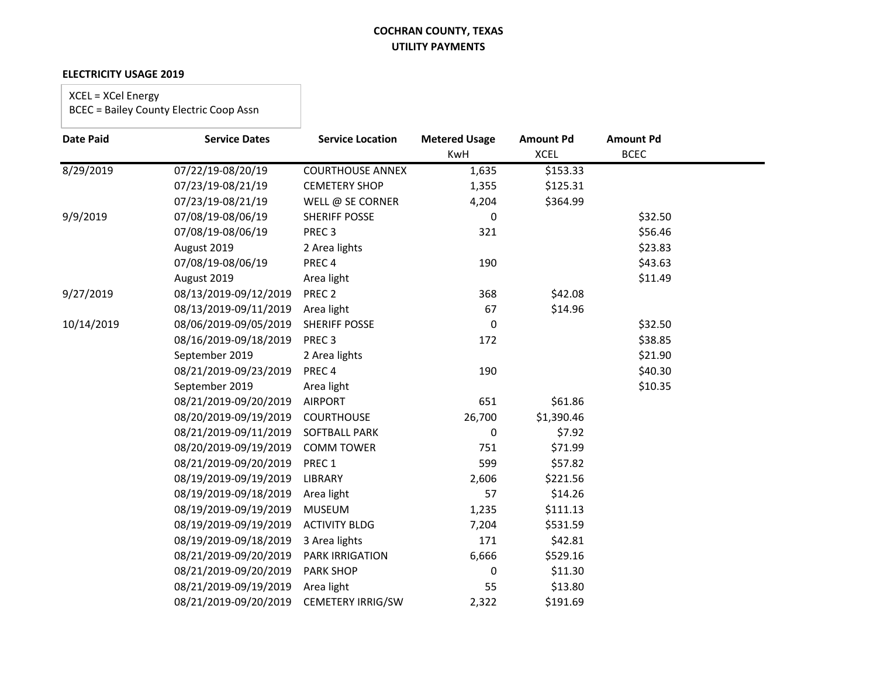### **ELECTRICITY USAGE 2019**

XCEL = XCel Energy

| <b>Date Paid</b> | <b>Service Dates</b>  | <b>Service Location</b>  | <b>Metered Usage</b> | <b>Amount Pd</b> | <b>Amount Pd</b> |  |
|------------------|-----------------------|--------------------------|----------------------|------------------|------------------|--|
|                  |                       |                          | KwH                  | <b>XCEL</b>      | <b>BCEC</b>      |  |
| 8/29/2019        | 07/22/19-08/20/19     | <b>COURTHOUSE ANNEX</b>  | 1,635                | \$153.33         |                  |  |
|                  | 07/23/19-08/21/19     | <b>CEMETERY SHOP</b>     | 1,355                | \$125.31         |                  |  |
|                  | 07/23/19-08/21/19     | WELL @ SE CORNER         | 4,204                | \$364.99         |                  |  |
| 9/9/2019         | 07/08/19-08/06/19     | <b>SHERIFF POSSE</b>     | 0                    |                  | \$32.50          |  |
|                  | 07/08/19-08/06/19     | PREC <sub>3</sub>        | 321                  |                  | \$56.46          |  |
|                  | August 2019           | 2 Area lights            |                      |                  | \$23.83          |  |
|                  | 07/08/19-08/06/19     | PREC <sub>4</sub>        | 190                  |                  | \$43.63          |  |
|                  | August 2019           | Area light               |                      |                  | \$11.49          |  |
| 9/27/2019        | 08/13/2019-09/12/2019 | PREC <sub>2</sub>        | 368                  | \$42.08          |                  |  |
|                  | 08/13/2019-09/11/2019 | Area light               | 67                   | \$14.96          |                  |  |
| 10/14/2019       | 08/06/2019-09/05/2019 | <b>SHERIFF POSSE</b>     | 0                    |                  | \$32.50          |  |
|                  | 08/16/2019-09/18/2019 | PREC <sub>3</sub>        | 172                  |                  | \$38.85          |  |
|                  | September 2019        | 2 Area lights            |                      |                  | \$21.90          |  |
|                  | 08/21/2019-09/23/2019 | PREC <sub>4</sub>        | 190                  |                  | \$40.30          |  |
|                  | September 2019        | Area light               |                      |                  | \$10.35          |  |
|                  | 08/21/2019-09/20/2019 | <b>AIRPORT</b>           | 651                  | \$61.86          |                  |  |
|                  | 08/20/2019-09/19/2019 | <b>COURTHOUSE</b>        | 26,700               | \$1,390.46       |                  |  |
|                  | 08/21/2019-09/11/2019 | SOFTBALL PARK            | 0                    | \$7.92           |                  |  |
|                  | 08/20/2019-09/19/2019 | <b>COMM TOWER</b>        | 751                  | \$71.99          |                  |  |
|                  | 08/21/2019-09/20/2019 | PREC 1                   | 599                  | \$57.82          |                  |  |
|                  | 08/19/2019-09/19/2019 | <b>LIBRARY</b>           | 2,606                | \$221.56         |                  |  |
|                  | 08/19/2019-09/18/2019 | Area light               | 57                   | \$14.26          |                  |  |
|                  | 08/19/2019-09/19/2019 | <b>MUSEUM</b>            | 1,235                | \$111.13         |                  |  |
|                  | 08/19/2019-09/19/2019 | <b>ACTIVITY BLDG</b>     | 7,204                | \$531.59         |                  |  |
|                  | 08/19/2019-09/18/2019 | 3 Area lights            | 171                  | \$42.81          |                  |  |
|                  | 08/21/2019-09/20/2019 | <b>PARK IRRIGATION</b>   | 6,666                | \$529.16         |                  |  |
|                  | 08/21/2019-09/20/2019 | <b>PARK SHOP</b>         | 0                    | \$11.30          |                  |  |
|                  | 08/21/2019-09/19/2019 | Area light               | 55                   | \$13.80          |                  |  |
|                  | 08/21/2019-09/20/2019 | <b>CEMETERY IRRIG/SW</b> | 2,322                | \$191.69         |                  |  |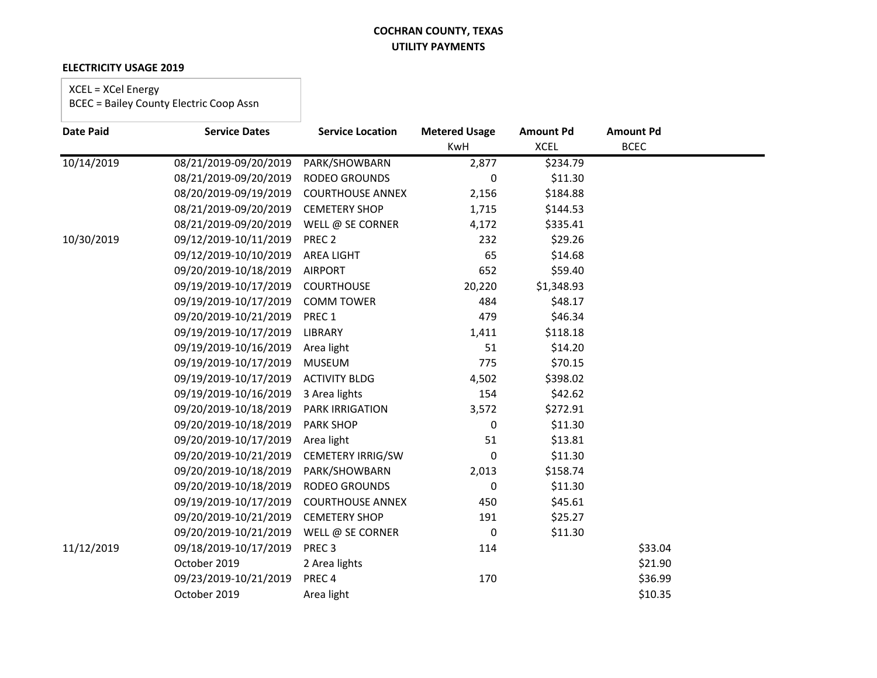#### **ELECTRICITY USAGE 2019**

### XCEL = XCel Energy

| <b>Date Paid</b> | <b>Service Dates</b>  | <b>Service Location</b>  | <b>Metered Usage</b> | <b>Amount Pd</b> | <b>Amount Pd</b> |  |
|------------------|-----------------------|--------------------------|----------------------|------------------|------------------|--|
|                  |                       |                          | KwH                  | <b>XCEL</b>      | <b>BCEC</b>      |  |
| 10/14/2019       | 08/21/2019-09/20/2019 | PARK/SHOWBARN            | 2,877                | \$234.79         |                  |  |
|                  | 08/21/2019-09/20/2019 | <b>RODEO GROUNDS</b>     | 0                    | \$11.30          |                  |  |
|                  | 08/20/2019-09/19/2019 | <b>COURTHOUSE ANNEX</b>  | 2,156                | \$184.88         |                  |  |
|                  | 08/21/2019-09/20/2019 | <b>CEMETERY SHOP</b>     | 1,715                | \$144.53         |                  |  |
|                  | 08/21/2019-09/20/2019 | WELL @ SE CORNER         | 4,172                | \$335.41         |                  |  |
| 10/30/2019       | 09/12/2019-10/11/2019 | PREC <sub>2</sub>        | 232                  | \$29.26          |                  |  |
|                  | 09/12/2019-10/10/2019 | <b>AREA LIGHT</b>        | 65                   | \$14.68          |                  |  |
|                  | 09/20/2019-10/18/2019 | <b>AIRPORT</b>           | 652                  | \$59.40          |                  |  |
|                  | 09/19/2019-10/17/2019 | <b>COURTHOUSE</b>        | 20,220               | \$1,348.93       |                  |  |
|                  | 09/19/2019-10/17/2019 | <b>COMM TOWER</b>        | 484                  | \$48.17          |                  |  |
|                  | 09/20/2019-10/21/2019 | PREC 1                   | 479                  | \$46.34          |                  |  |
|                  | 09/19/2019-10/17/2019 | LIBRARY                  | 1,411                | \$118.18         |                  |  |
|                  | 09/19/2019-10/16/2019 | Area light               | 51                   | \$14.20          |                  |  |
|                  | 09/19/2019-10/17/2019 | <b>MUSEUM</b>            | 775                  | \$70.15          |                  |  |
|                  | 09/19/2019-10/17/2019 | <b>ACTIVITY BLDG</b>     | 4,502                | \$398.02         |                  |  |
|                  | 09/19/2019-10/16/2019 | 3 Area lights            | 154                  | \$42.62          |                  |  |
|                  | 09/20/2019-10/18/2019 | <b>PARK IRRIGATION</b>   | 3,572                | \$272.91         |                  |  |
|                  | 09/20/2019-10/18/2019 | <b>PARK SHOP</b>         | 0                    | \$11.30          |                  |  |
|                  | 09/20/2019-10/17/2019 | Area light               | 51                   | \$13.81          |                  |  |
|                  | 09/20/2019-10/21/2019 | <b>CEMETERY IRRIG/SW</b> | 0                    | \$11.30          |                  |  |
|                  | 09/20/2019-10/18/2019 | PARK/SHOWBARN            | 2,013                | \$158.74         |                  |  |
|                  | 09/20/2019-10/18/2019 | RODEO GROUNDS            | 0                    | \$11.30          |                  |  |
|                  | 09/19/2019-10/17/2019 | <b>COURTHOUSE ANNEX</b>  | 450                  | \$45.61          |                  |  |
|                  | 09/20/2019-10/21/2019 | <b>CEMETERY SHOP</b>     | 191                  | \$25.27          |                  |  |
|                  | 09/20/2019-10/21/2019 | WELL @ SE CORNER         | 0                    | \$11.30          |                  |  |
| 11/12/2019       | 09/18/2019-10/17/2019 | PREC <sub>3</sub>        | 114                  |                  | \$33.04          |  |
|                  | October 2019          | 2 Area lights            |                      |                  | \$21.90          |  |
|                  | 09/23/2019-10/21/2019 | PREC <sub>4</sub>        | 170                  |                  | \$36.99          |  |
|                  | October 2019          | Area light               |                      |                  | \$10.35          |  |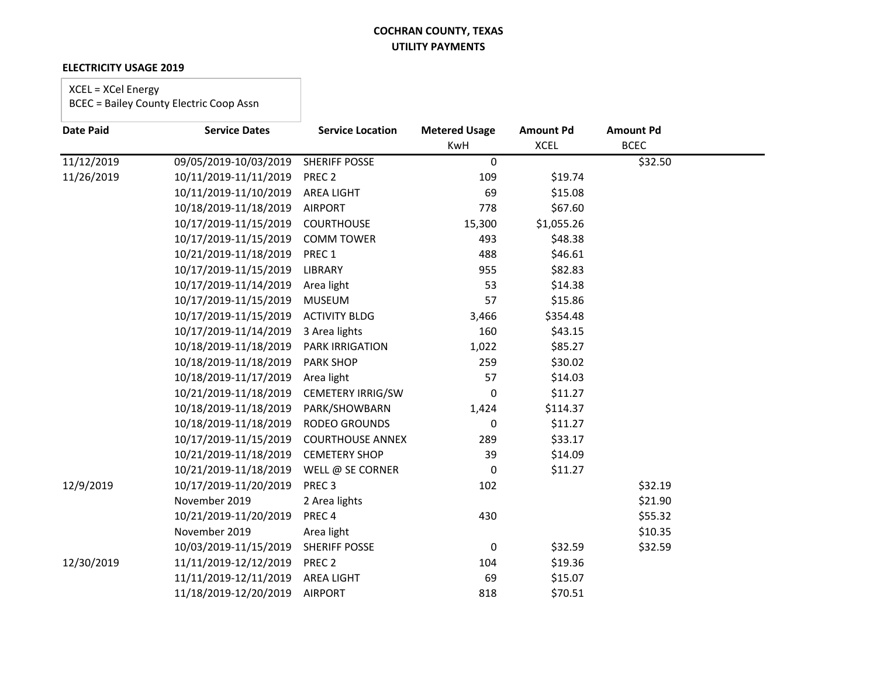#### **ELECTRICITY USAGE 2019**

### XCEL = XCel Energy

| <b>Date Paid</b> | <b>Service Dates</b>  | <b>Service Location</b>  | <b>Metered Usage</b> | <b>Amount Pd</b> | <b>Amount Pd</b> |  |
|------------------|-----------------------|--------------------------|----------------------|------------------|------------------|--|
|                  |                       |                          | KwH                  | <b>XCEL</b>      | <b>BCEC</b>      |  |
| 11/12/2019       | 09/05/2019-10/03/2019 | <b>SHERIFF POSSE</b>     | 0                    |                  | \$32.50          |  |
| 11/26/2019       | 10/11/2019-11/11/2019 | PREC <sub>2</sub>        | 109                  | \$19.74          |                  |  |
|                  | 10/11/2019-11/10/2019 | <b>AREA LIGHT</b>        | 69                   | \$15.08          |                  |  |
|                  | 10/18/2019-11/18/2019 | <b>AIRPORT</b>           | 778                  | \$67.60          |                  |  |
|                  | 10/17/2019-11/15/2019 | <b>COURTHOUSE</b>        | 15,300               | \$1,055.26       |                  |  |
|                  | 10/17/2019-11/15/2019 | <b>COMM TOWER</b>        | 493                  | \$48.38          |                  |  |
|                  | 10/21/2019-11/18/2019 | PREC 1                   | 488                  | \$46.61          |                  |  |
|                  | 10/17/2019-11/15/2019 | LIBRARY                  | 955                  | \$82.83          |                  |  |
|                  | 10/17/2019-11/14/2019 | Area light               | 53                   | \$14.38          |                  |  |
|                  | 10/17/2019-11/15/2019 | <b>MUSEUM</b>            | 57                   | \$15.86          |                  |  |
|                  | 10/17/2019-11/15/2019 | <b>ACTIVITY BLDG</b>     | 3,466                | \$354.48         |                  |  |
|                  | 10/17/2019-11/14/2019 | 3 Area lights            | 160                  | \$43.15          |                  |  |
|                  | 10/18/2019-11/18/2019 | <b>PARK IRRIGATION</b>   | 1,022                | \$85.27          |                  |  |
|                  | 10/18/2019-11/18/2019 | <b>PARK SHOP</b>         | 259                  | \$30.02          |                  |  |
|                  | 10/18/2019-11/17/2019 | Area light               | 57                   | \$14.03          |                  |  |
|                  | 10/21/2019-11/18/2019 | <b>CEMETERY IRRIG/SW</b> | 0                    | \$11.27          |                  |  |
|                  | 10/18/2019-11/18/2019 | PARK/SHOWBARN            | 1,424                | \$114.37         |                  |  |
|                  | 10/18/2019-11/18/2019 | RODEO GROUNDS            | 0                    | \$11.27          |                  |  |
|                  | 10/17/2019-11/15/2019 | <b>COURTHOUSE ANNEX</b>  | 289                  | \$33.17          |                  |  |
|                  | 10/21/2019-11/18/2019 | <b>CEMETERY SHOP</b>     | 39                   | \$14.09          |                  |  |
|                  | 10/21/2019-11/18/2019 | WELL @ SE CORNER         | 0                    | \$11.27          |                  |  |
| 12/9/2019        | 10/17/2019-11/20/2019 | PREC <sub>3</sub>        | 102                  |                  | \$32.19          |  |
|                  | November 2019         | 2 Area lights            |                      |                  | \$21.90          |  |
|                  | 10/21/2019-11/20/2019 | PREC <sub>4</sub>        | 430                  |                  | \$55.32          |  |
|                  | November 2019         | Area light               |                      |                  | \$10.35          |  |
|                  | 10/03/2019-11/15/2019 | <b>SHERIFF POSSE</b>     | 0                    | \$32.59          | \$32.59          |  |
| 12/30/2019       | 11/11/2019-12/12/2019 | PREC <sub>2</sub>        | 104                  | \$19.36          |                  |  |
|                  | 11/11/2019-12/11/2019 | <b>AREA LIGHT</b>        | 69                   | \$15.07          |                  |  |
|                  | 11/18/2019-12/20/2019 | <b>AIRPORT</b>           | 818                  | \$70.51          |                  |  |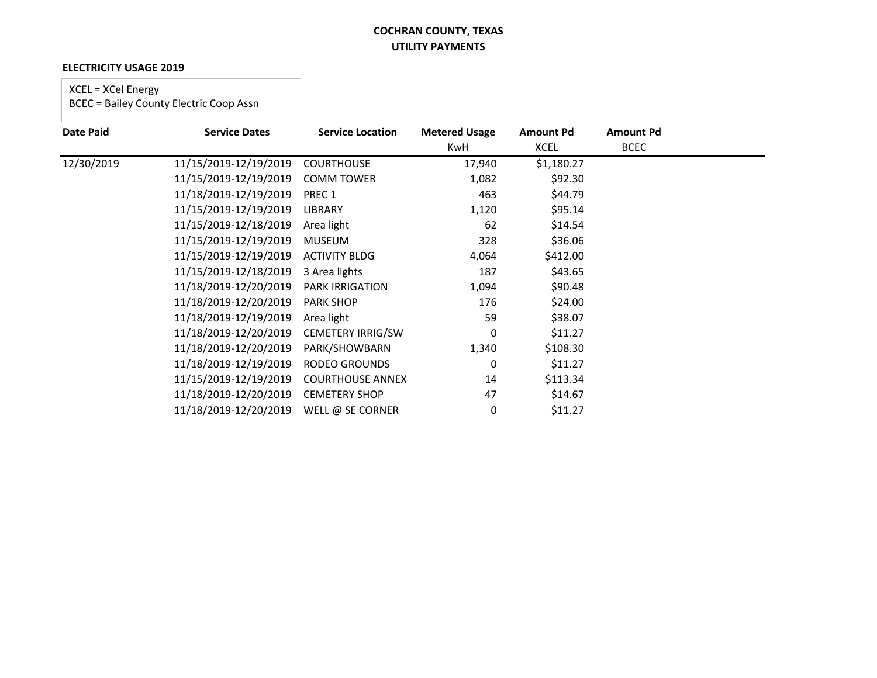### **ELECTRICITY USAGE 2019**

### XCEL = XCel Energy

| <b>Date Paid</b> | <b>Service Dates</b>  | <b>Service Location</b>  | <b>Metered Usage</b> | <b>Amount Pd</b> | <b>Amount Pd</b> |  |
|------------------|-----------------------|--------------------------|----------------------|------------------|------------------|--|
|                  |                       |                          | KwH                  | <b>XCEL</b>      | <b>BCEC</b>      |  |
| 12/30/2019       | 11/15/2019-12/19/2019 | <b>COURTHOUSE</b>        | 17,940               | \$1,180.27       |                  |  |
|                  | 11/15/2019-12/19/2019 | <b>COMM TOWER</b>        | 1,082                | \$92.30          |                  |  |
|                  | 11/18/2019-12/19/2019 | PREC 1                   | 463                  | \$44.79          |                  |  |
|                  | 11/15/2019-12/19/2019 | LIBRARY                  | 1,120                | \$95.14          |                  |  |
|                  | 11/15/2019-12/18/2019 | Area light               | 62                   | \$14.54          |                  |  |
|                  | 11/15/2019-12/19/2019 | <b>MUSEUM</b>            | 328                  | \$36.06          |                  |  |
|                  | 11/15/2019-12/19/2019 | <b>ACTIVITY BLDG</b>     | 4,064                | \$412.00         |                  |  |
|                  | 11/15/2019-12/18/2019 | 3 Area lights            | 187                  | \$43.65          |                  |  |
|                  | 11/18/2019-12/20/2019 | <b>PARK IRRIGATION</b>   | 1,094                | \$90.48          |                  |  |
|                  | 11/18/2019-12/20/2019 | <b>PARK SHOP</b>         | 176                  | \$24.00          |                  |  |
|                  | 11/18/2019-12/19/2019 | Area light               | 59                   | \$38.07          |                  |  |
|                  | 11/18/2019-12/20/2019 | <b>CEMETERY IRRIG/SW</b> | 0                    | \$11.27          |                  |  |
|                  | 11/18/2019-12/20/2019 | PARK/SHOWBARN            | 1,340                | \$108.30         |                  |  |
|                  | 11/18/2019-12/19/2019 | RODEO GROUNDS            | 0                    | \$11.27          |                  |  |
|                  | 11/15/2019-12/19/2019 | <b>COURTHOUSE ANNEX</b>  | 14                   | \$113.34         |                  |  |
|                  | 11/18/2019-12/20/2019 | <b>CEMETERY SHOP</b>     | 47                   | \$14.67          |                  |  |
|                  | 11/18/2019-12/20/2019 | WELL @ SE CORNER         | 0                    | \$11.27          |                  |  |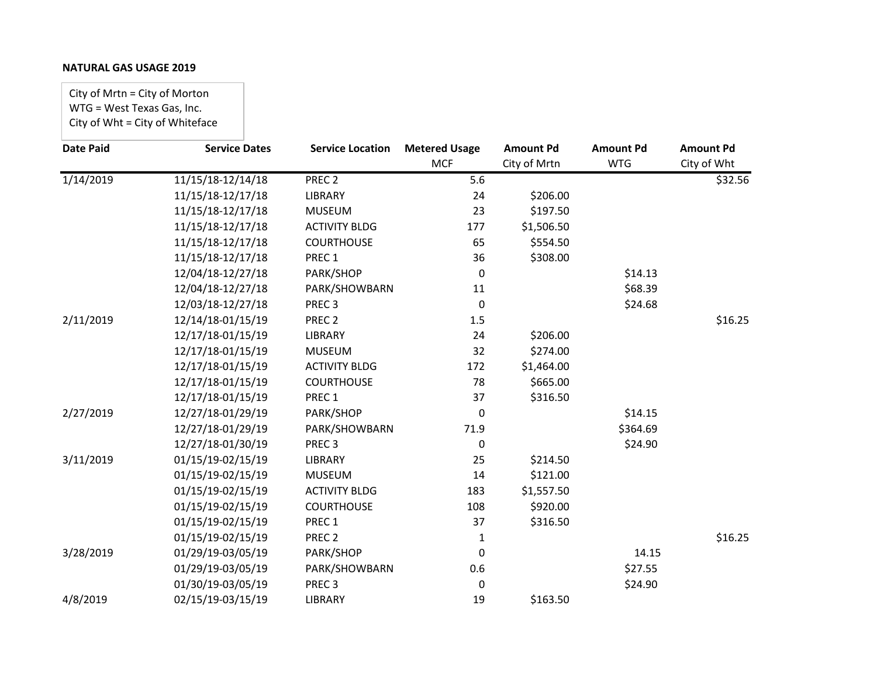City of Mrtn = City of Morton WTG = West Texas Gas, Inc. City of Wht = City of Whiteface

| <b>Date Paid</b> | <b>Service Dates</b> | <b>Service Location</b> | <b>Metered Usage</b> | <b>Amount Pd</b> | <b>Amount Pd</b> | <b>Amount Pd</b> |
|------------------|----------------------|-------------------------|----------------------|------------------|------------------|------------------|
|                  |                      |                         | <b>MCF</b>           | City of Mrtn     | <b>WTG</b>       | City of Wht      |
| 1/14/2019        | 11/15/18-12/14/18    | PREC <sub>2</sub>       | 5.6                  |                  |                  | \$32.56          |
|                  | 11/15/18-12/17/18    | <b>LIBRARY</b>          | 24                   | \$206.00         |                  |                  |
|                  | 11/15/18-12/17/18    | <b>MUSEUM</b>           | 23                   | \$197.50         |                  |                  |
|                  | 11/15/18-12/17/18    | <b>ACTIVITY BLDG</b>    | 177                  | \$1,506.50       |                  |                  |
|                  | 11/15/18-12/17/18    | <b>COURTHOUSE</b>       | 65                   | \$554.50         |                  |                  |
|                  | 11/15/18-12/17/18    | PREC <sub>1</sub>       | 36                   | \$308.00         |                  |                  |
|                  | 12/04/18-12/27/18    | PARK/SHOP               | 0                    |                  | \$14.13          |                  |
|                  | 12/04/18-12/27/18    | PARK/SHOWBARN           | 11                   |                  | \$68.39          |                  |
|                  | 12/03/18-12/27/18    | PREC <sub>3</sub>       | 0                    |                  | \$24.68          |                  |
| 2/11/2019        | 12/14/18-01/15/19    | PREC <sub>2</sub>       | 1.5                  |                  |                  | \$16.25          |
|                  | 12/17/18-01/15/19    | <b>LIBRARY</b>          | 24                   | \$206.00         |                  |                  |
|                  | 12/17/18-01/15/19    | <b>MUSEUM</b>           | 32                   | \$274.00         |                  |                  |
|                  | 12/17/18-01/15/19    | <b>ACTIVITY BLDG</b>    | 172                  | \$1,464.00       |                  |                  |
|                  | 12/17/18-01/15/19    | <b>COURTHOUSE</b>       | 78                   | \$665.00         |                  |                  |
|                  | 12/17/18-01/15/19    | PREC 1                  | 37                   | \$316.50         |                  |                  |
| 2/27/2019        | 12/27/18-01/29/19    | PARK/SHOP               | 0                    |                  | \$14.15          |                  |
|                  | 12/27/18-01/29/19    | PARK/SHOWBARN           | 71.9                 |                  | \$364.69         |                  |
|                  | 12/27/18-01/30/19    | PREC <sub>3</sub>       | 0                    |                  | \$24.90          |                  |
| 3/11/2019        | 01/15/19-02/15/19    | <b>LIBRARY</b>          | 25                   | \$214.50         |                  |                  |
|                  | 01/15/19-02/15/19    | <b>MUSEUM</b>           | 14                   | \$121.00         |                  |                  |
|                  | 01/15/19-02/15/19    | <b>ACTIVITY BLDG</b>    | 183                  | \$1,557.50       |                  |                  |
|                  | 01/15/19-02/15/19    | <b>COURTHOUSE</b>       | 108                  | \$920.00         |                  |                  |
|                  | 01/15/19-02/15/19    | PREC 1                  | 37                   | \$316.50         |                  |                  |
|                  | 01/15/19-02/15/19    | PREC <sub>2</sub>       | 1                    |                  |                  | \$16.25          |
| 3/28/2019        | 01/29/19-03/05/19    | PARK/SHOP               | 0                    |                  | 14.15            |                  |
|                  | 01/29/19-03/05/19    | PARK/SHOWBARN           | 0.6                  |                  | \$27.55          |                  |
|                  | 01/30/19-03/05/19    | PREC <sub>3</sub>       | 0                    |                  | \$24.90          |                  |
| 4/8/2019         | 02/15/19-03/15/19    | <b>LIBRARY</b>          | 19                   | \$163.50         |                  |                  |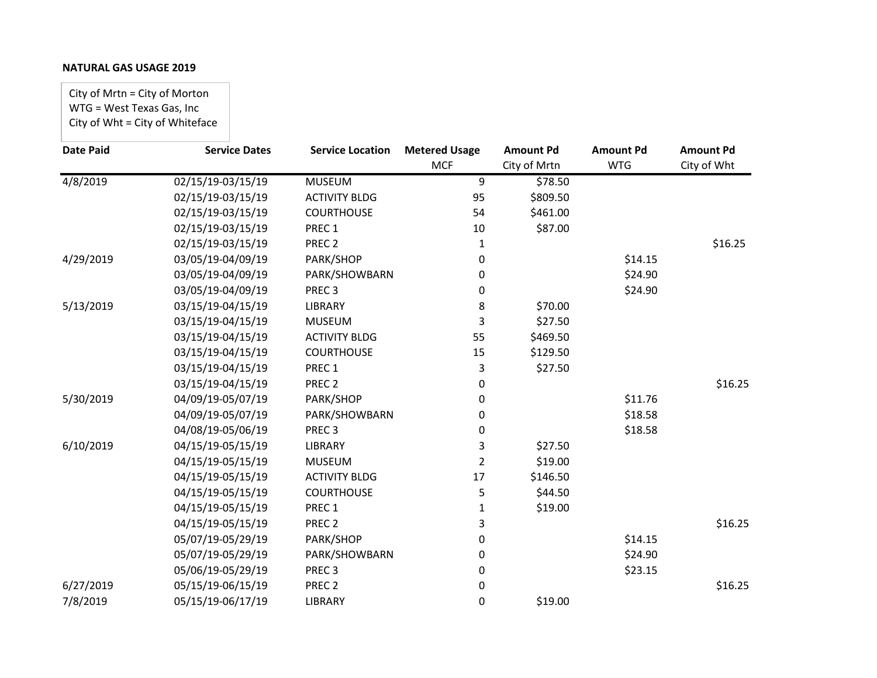City of Mrtn = City of Morton WTG = West Texas Gas, Inc City of Wht = City of Whiteface

| <b>Date Paid</b> | <b>Service Dates</b> | <b>Service Location</b> | <b>Metered Usage</b> | <b>Amount Pd</b> | <b>Amount Pd</b> | <b>Amount Pd</b> |
|------------------|----------------------|-------------------------|----------------------|------------------|------------------|------------------|
|                  |                      |                         | <b>MCF</b>           | City of Mrtn     | <b>WTG</b>       | City of Wht      |
| 4/8/2019         | 02/15/19-03/15/19    | <b>MUSEUM</b>           | 9                    | \$78.50          |                  |                  |
|                  | 02/15/19-03/15/19    | <b>ACTIVITY BLDG</b>    | 95                   | \$809.50         |                  |                  |
|                  | 02/15/19-03/15/19    | <b>COURTHOUSE</b>       | 54                   | \$461.00         |                  |                  |
|                  | 02/15/19-03/15/19    | PREC 1                  | 10                   | \$87.00          |                  |                  |
|                  | 02/15/19-03/15/19    | PREC <sub>2</sub>       | 1                    |                  |                  | \$16.25          |
| 4/29/2019        | 03/05/19-04/09/19    | PARK/SHOP               | 0                    |                  | \$14.15          |                  |
|                  | 03/05/19-04/09/19    | PARK/SHOWBARN           | 0                    |                  | \$24.90          |                  |
|                  | 03/05/19-04/09/19    | PREC <sub>3</sub>       | 0                    |                  | \$24.90          |                  |
| 5/13/2019        | 03/15/19-04/15/19    | <b>LIBRARY</b>          | 8                    | \$70.00          |                  |                  |
|                  | 03/15/19-04/15/19    | <b>MUSEUM</b>           | 3                    | \$27.50          |                  |                  |
|                  | 03/15/19-04/15/19    | <b>ACTIVITY BLDG</b>    | 55                   | \$469.50         |                  |                  |
|                  | 03/15/19-04/15/19    | <b>COURTHOUSE</b>       | 15                   | \$129.50         |                  |                  |
|                  | 03/15/19-04/15/19    | PREC <sub>1</sub>       | 3                    | \$27.50          |                  |                  |
|                  | 03/15/19-04/15/19    | PREC <sub>2</sub>       | 0                    |                  |                  | \$16.25          |
| 5/30/2019        | 04/09/19-05/07/19    | PARK/SHOP               | 0                    |                  | \$11.76          |                  |
|                  | 04/09/19-05/07/19    | PARK/SHOWBARN           | 0                    |                  | \$18.58          |                  |
|                  | 04/08/19-05/06/19    | PREC <sub>3</sub>       | 0                    |                  | \$18.58          |                  |
| 6/10/2019        | 04/15/19-05/15/19    | <b>LIBRARY</b>          | 3                    | \$27.50          |                  |                  |
|                  | 04/15/19-05/15/19    | <b>MUSEUM</b>           | $\overline{2}$       | \$19.00          |                  |                  |
|                  | 04/15/19-05/15/19    | <b>ACTIVITY BLDG</b>    | 17                   | \$146.50         |                  |                  |
|                  | 04/15/19-05/15/19    | <b>COURTHOUSE</b>       | 5                    | \$44.50          |                  |                  |
|                  | 04/15/19-05/15/19    | PREC 1                  | $\mathbf{1}$         | \$19.00          |                  |                  |
|                  | 04/15/19-05/15/19    | PREC <sub>2</sub>       | 3                    |                  |                  | \$16.25          |
|                  | 05/07/19-05/29/19    | PARK/SHOP               | 0                    |                  | \$14.15          |                  |
|                  | 05/07/19-05/29/19    | PARK/SHOWBARN           | 0                    |                  | \$24.90          |                  |
|                  | 05/06/19-05/29/19    | PREC <sub>3</sub>       | 0                    |                  | \$23.15          |                  |
| 6/27/2019        | 05/15/19-06/15/19    | PREC <sub>2</sub>       | 0                    |                  |                  | \$16.25          |
| 7/8/2019         | 05/15/19-06/17/19    | <b>LIBRARY</b>          | 0                    | \$19.00          |                  |                  |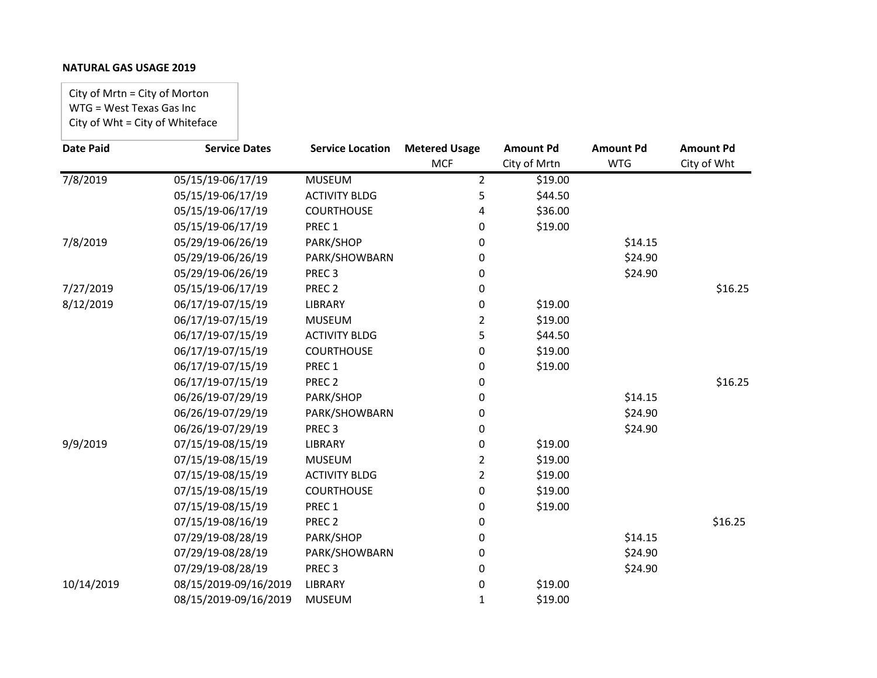City of Mrtn = City of Morton WTG = West Texas Gas Inc City of Wht = City of Whiteface

| <b>Date Paid</b> | <b>Service Dates</b>  | <b>Service Location</b> | <b>Metered Usage</b> | <b>Amount Pd</b> | <b>Amount Pd</b> | <b>Amount Pd</b> |
|------------------|-----------------------|-------------------------|----------------------|------------------|------------------|------------------|
|                  |                       |                         | <b>MCF</b>           | City of Mrtn     | <b>WTG</b>       | City of Wht      |
| 7/8/2019         | 05/15/19-06/17/19     | <b>MUSEUM</b>           | $\overline{2}$       | \$19.00          |                  |                  |
|                  | 05/15/19-06/17/19     | <b>ACTIVITY BLDG</b>    | 5                    | \$44.50          |                  |                  |
|                  | 05/15/19-06/17/19     | <b>COURTHOUSE</b>       | 4                    | \$36.00          |                  |                  |
|                  | 05/15/19-06/17/19     | PREC 1                  | 0                    | \$19.00          |                  |                  |
| 7/8/2019         | 05/29/19-06/26/19     | PARK/SHOP               | 0                    |                  | \$14.15          |                  |
|                  | 05/29/19-06/26/19     | PARK/SHOWBARN           | 0                    |                  | \$24.90          |                  |
|                  | 05/29/19-06/26/19     | PREC <sub>3</sub>       | 0                    |                  | \$24.90          |                  |
| 7/27/2019        | 05/15/19-06/17/19     | PREC <sub>2</sub>       | 0                    |                  |                  | \$16.25          |
| 8/12/2019        | 06/17/19-07/15/19     | <b>LIBRARY</b>          | 0                    | \$19.00          |                  |                  |
|                  | 06/17/19-07/15/19     | <b>MUSEUM</b>           | 2                    | \$19.00          |                  |                  |
|                  | 06/17/19-07/15/19     | <b>ACTIVITY BLDG</b>    | 5                    | \$44.50          |                  |                  |
|                  | 06/17/19-07/15/19     | <b>COURTHOUSE</b>       | 0                    | \$19.00          |                  |                  |
|                  | 06/17/19-07/15/19     | PREC 1                  | 0                    | \$19.00          |                  |                  |
|                  | 06/17/19-07/15/19     | PREC <sub>2</sub>       | 0                    |                  |                  | \$16.25          |
|                  | 06/26/19-07/29/19     | PARK/SHOP               | 0                    |                  | \$14.15          |                  |
|                  | 06/26/19-07/29/19     | PARK/SHOWBARN           | 0                    |                  | \$24.90          |                  |
|                  | 06/26/19-07/29/19     | PREC <sub>3</sub>       | 0                    |                  | \$24.90          |                  |
| 9/9/2019         | 07/15/19-08/15/19     | <b>LIBRARY</b>          | 0                    | \$19.00          |                  |                  |
|                  | 07/15/19-08/15/19     | <b>MUSEUM</b>           | 2                    | \$19.00          |                  |                  |
|                  | 07/15/19-08/15/19     | <b>ACTIVITY BLDG</b>    | $\overline{2}$       | \$19.00          |                  |                  |
|                  | 07/15/19-08/15/19     | <b>COURTHOUSE</b>       | 0                    | \$19.00          |                  |                  |
|                  | 07/15/19-08/15/19     | PREC 1                  | 0                    | \$19.00          |                  |                  |
|                  | 07/15/19-08/16/19     | PREC <sub>2</sub>       | 0                    |                  |                  | \$16.25          |
|                  | 07/29/19-08/28/19     | PARK/SHOP               | 0                    |                  | \$14.15          |                  |
|                  | 07/29/19-08/28/19     | PARK/SHOWBARN           | 0                    |                  | \$24.90          |                  |
|                  | 07/29/19-08/28/19     | PREC <sub>3</sub>       | 0                    |                  | \$24.90          |                  |
| 10/14/2019       | 08/15/2019-09/16/2019 | <b>LIBRARY</b>          | 0                    | \$19.00          |                  |                  |
|                  | 08/15/2019-09/16/2019 | <b>MUSEUM</b>           | 1                    | \$19.00          |                  |                  |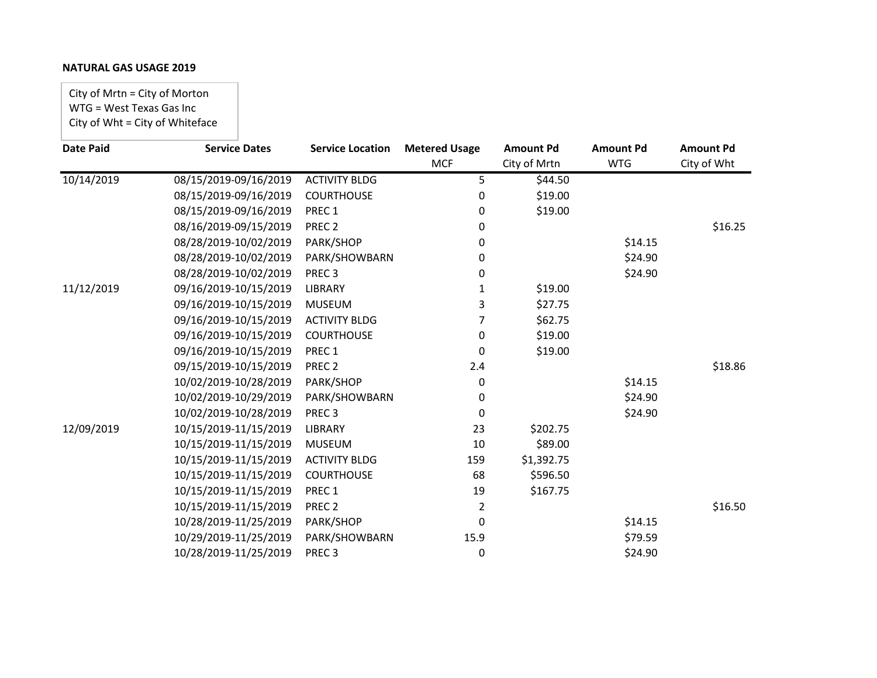City of Mrtn = City of Morton WTG = West Texas Gas Inc City of Wht = City of Whiteface

| <b>Date Paid</b> | <b>Service Dates</b>  | <b>Service Location</b> | <b>Metered Usage</b> | <b>Amount Pd</b> | <b>Amount Pd</b> | <b>Amount Pd</b> |
|------------------|-----------------------|-------------------------|----------------------|------------------|------------------|------------------|
|                  |                       |                         | <b>MCF</b>           | City of Mrtn     | <b>WTG</b>       | City of Wht      |
| 10/14/2019       | 08/15/2019-09/16/2019 | <b>ACTIVITY BLDG</b>    | 5                    | \$44.50          |                  |                  |
|                  | 08/15/2019-09/16/2019 | <b>COURTHOUSE</b>       | 0                    | \$19.00          |                  |                  |
|                  | 08/15/2019-09/16/2019 | PREC <sub>1</sub>       | 0                    | \$19.00          |                  |                  |
|                  | 08/16/2019-09/15/2019 | PREC <sub>2</sub>       | 0                    |                  |                  | \$16.25          |
|                  | 08/28/2019-10/02/2019 | PARK/SHOP               | 0                    |                  | \$14.15          |                  |
|                  | 08/28/2019-10/02/2019 | PARK/SHOWBARN           | 0                    |                  | \$24.90          |                  |
|                  | 08/28/2019-10/02/2019 | PREC <sub>3</sub>       | 0                    |                  | \$24.90          |                  |
| 11/12/2019       | 09/16/2019-10/15/2019 | <b>LIBRARY</b>          | 1                    | \$19.00          |                  |                  |
|                  | 09/16/2019-10/15/2019 | <b>MUSEUM</b>           | 3                    | \$27.75          |                  |                  |
|                  | 09/16/2019-10/15/2019 | <b>ACTIVITY BLDG</b>    | 7                    | \$62.75          |                  |                  |
|                  | 09/16/2019-10/15/2019 | <b>COURTHOUSE</b>       | 0                    | \$19.00          |                  |                  |
|                  | 09/16/2019-10/15/2019 | PREC 1                  | 0                    | \$19.00          |                  |                  |
|                  | 09/15/2019-10/15/2019 | PREC <sub>2</sub>       | 2.4                  |                  |                  | \$18.86          |
|                  | 10/02/2019-10/28/2019 | PARK/SHOP               | 0                    |                  | \$14.15          |                  |
|                  | 10/02/2019-10/29/2019 | PARK/SHOWBARN           | 0                    |                  | \$24.90          |                  |
|                  | 10/02/2019-10/28/2019 | PREC <sub>3</sub>       | 0                    |                  | \$24.90          |                  |
| 12/09/2019       | 10/15/2019-11/15/2019 | <b>LIBRARY</b>          | 23                   | \$202.75         |                  |                  |
|                  | 10/15/2019-11/15/2019 | <b>MUSEUM</b>           | 10                   | \$89.00          |                  |                  |
|                  | 10/15/2019-11/15/2019 | <b>ACTIVITY BLDG</b>    | 159                  | \$1,392.75       |                  |                  |
|                  | 10/15/2019-11/15/2019 | <b>COURTHOUSE</b>       | 68                   | \$596.50         |                  |                  |
|                  | 10/15/2019-11/15/2019 | PREC 1                  | 19                   | \$167.75         |                  |                  |
|                  | 10/15/2019-11/15/2019 | PREC <sub>2</sub>       | 2                    |                  |                  | \$16.50          |
|                  | 10/28/2019-11/25/2019 | PARK/SHOP               | 0                    |                  | \$14.15          |                  |
|                  | 10/29/2019-11/25/2019 | PARK/SHOWBARN           | 15.9                 |                  | \$79.59          |                  |
|                  | 10/28/2019-11/25/2019 | PREC <sub>3</sub>       | 0                    |                  | \$24.90          |                  |